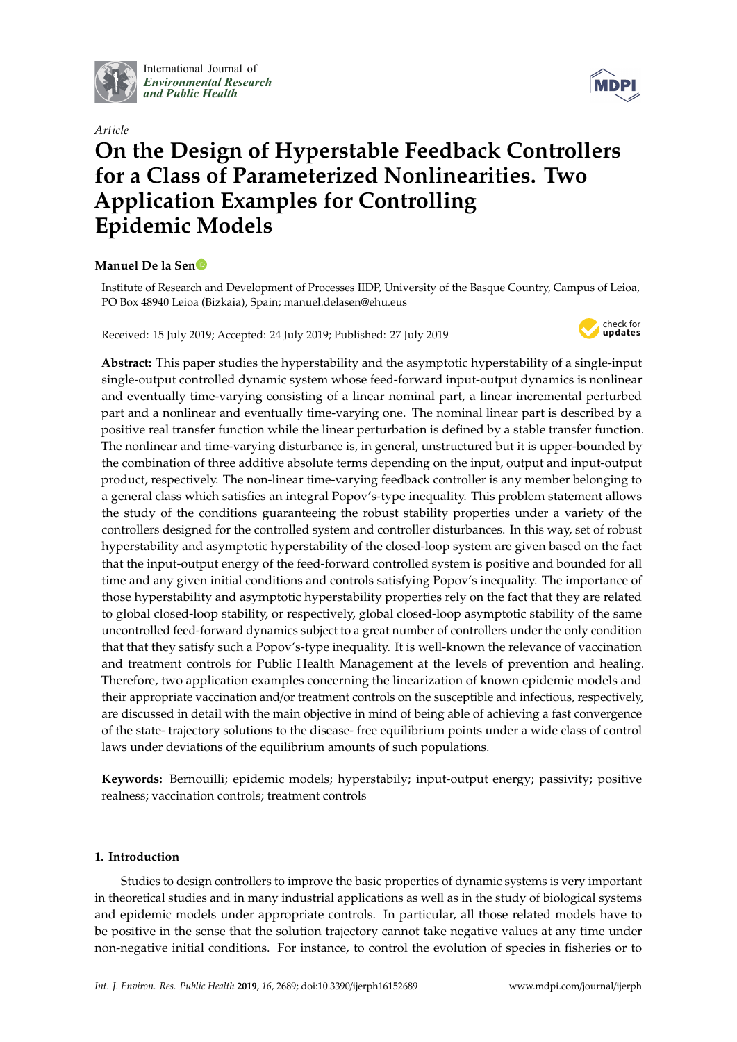

International Journal of *[Environmental Research](http://www.mdpi.com/journal/ijerph) and Public Health*



# *Article* **On the Design of Hyperstable Feedback Controllers for a Class of Parameterized Nonlinearities. Two Application Examples for Controlling Epidemic Models**

## **Manuel De la Se[n](https://orcid.org/0000-0001-9320-9433)**

Institute of Research and Development of Processes IIDP, University of the Basque Country, Campus of Leioa, PO Box 48940 Leioa (Bizkaia), Spain; manuel.delasen@ehu.eus

Received: 15 July 2019; Accepted: 24 July 2019; Published: 27 July 2019



**Abstract:** This paper studies the hyperstability and the asymptotic hyperstability of a single-input single-output controlled dynamic system whose feed-forward input-output dynamics is nonlinear and eventually time-varying consisting of a linear nominal part, a linear incremental perturbed part and a nonlinear and eventually time-varying one. The nominal linear part is described by a positive real transfer function while the linear perturbation is defined by a stable transfer function. The nonlinear and time-varying disturbance is, in general, unstructured but it is upper-bounded by the combination of three additive absolute terms depending on the input, output and input-output product, respectively. The non-linear time-varying feedback controller is any member belonging to a general class which satisfies an integral Popov's-type inequality. This problem statement allows the study of the conditions guaranteeing the robust stability properties under a variety of the controllers designed for the controlled system and controller disturbances. In this way, set of robust hyperstability and asymptotic hyperstability of the closed-loop system are given based on the fact that the input-output energy of the feed-forward controlled system is positive and bounded for all time and any given initial conditions and controls satisfying Popov's inequality. The importance of those hyperstability and asymptotic hyperstability properties rely on the fact that they are related to global closed-loop stability, or respectively, global closed-loop asymptotic stability of the same uncontrolled feed-forward dynamics subject to a great number of controllers under the only condition that that they satisfy such a Popov's-type inequality. It is well-known the relevance of vaccination and treatment controls for Public Health Management at the levels of prevention and healing. Therefore, two application examples concerning the linearization of known epidemic models and their appropriate vaccination and/or treatment controls on the susceptible and infectious, respectively, are discussed in detail with the main objective in mind of being able of achieving a fast convergence of the state- trajectory solutions to the disease- free equilibrium points under a wide class of control laws under deviations of the equilibrium amounts of such populations.

**Keywords:** Bernouilli; epidemic models; hyperstabily; input-output energy; passivity; positive realness; vaccination controls; treatment controls

### **1. Introduction**

Studies to design controllers to improve the basic properties of dynamic systems is very important in theoretical studies and in many industrial applications as well as in the study of biological systems and epidemic models under appropriate controls. In particular, all those related models have to be positive in the sense that the solution trajectory cannot take negative values at any time under non-negative initial conditions. For instance, to control the evolution of species in fisheries or to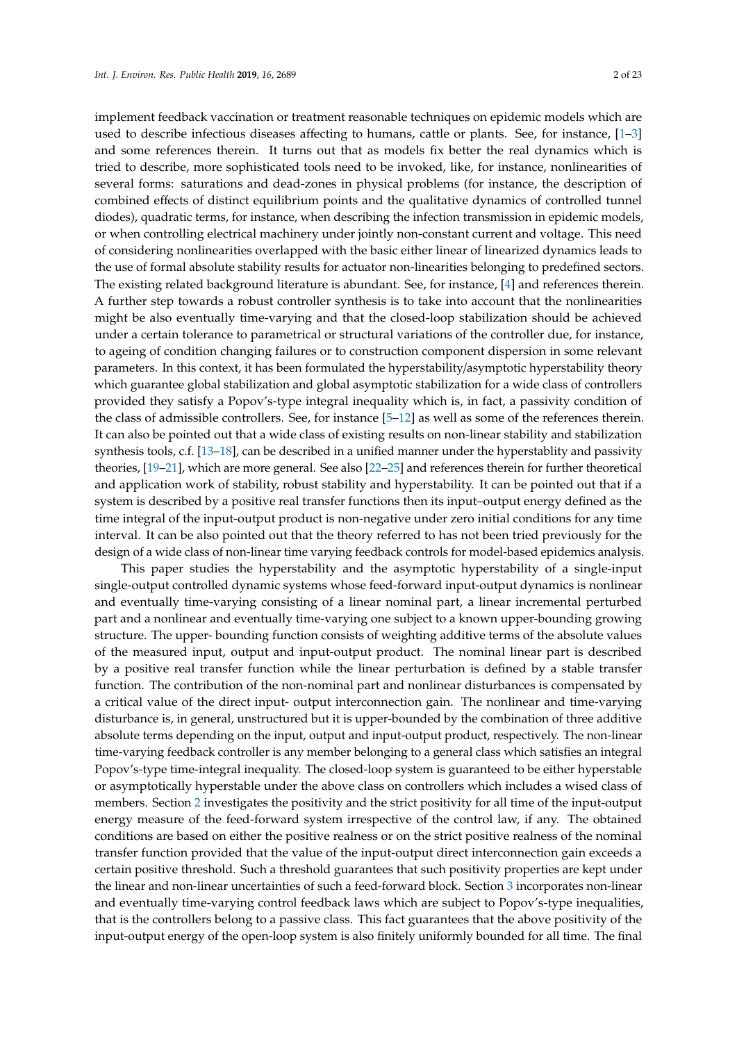implement feedback vaccination or treatment reasonable techniques on epidemic models which are used to describe infectious diseases affecting to humans, cattle or plants. See, for instance, [\[1](#page-21-0)[–3\]](#page-21-1) and some references therein. It turns out that as models fix better the real dynamics which is tried to describe, more sophisticated tools need to be invoked, like, for instance, nonlinearities of several forms: saturations and dead-zones in physical problems (for instance, the description of combined effects of distinct equilibrium points and the qualitative dynamics of controlled tunnel diodes), quadratic terms, for instance, when describing the infection transmission in epidemic models, or when controlling electrical machinery under jointly non-constant current and voltage. This need of considering nonlinearities overlapped with the basic either linear of linearized dynamics leads to the use of formal absolute stability results for actuator non-linearities belonging to predefined sectors. The existing related background literature is abundant. See, for instance, [\[4\]](#page-21-2) and references therein. A further step towards a robust controller synthesis is to take into account that the nonlinearities might be also eventually time-varying and that the closed-loop stabilization should be achieved under a certain tolerance to parametrical or structural variations of the controller due, for instance, to ageing of condition changing failures or to construction component dispersion in some relevant parameters. In this context, it has been formulated the hyperstability/asymptotic hyperstability theory which guarantee global stabilization and global asymptotic stabilization for a wide class of controllers provided they satisfy a Popov's-type integral inequality which is, in fact, a passivity condition of the class of admissible controllers. See, for instance [\[5](#page-21-3)[–12\]](#page-22-0) as well as some of the references therein. It can also be pointed out that a wide class of existing results on non-linear stability and stabilization synthesis tools, c.f. [\[13–](#page-22-1)[18\]](#page-22-2), can be described in a unified manner under the hyperstablity and passivity theories, [\[19–](#page-22-3)[21\]](#page-22-4), which are more general. See also [\[22](#page-22-5)[–25\]](#page-22-6) and references therein for further theoretical and application work of stability, robust stability and hyperstability. It can be pointed out that if a system is described by a positive real transfer functions then its input–output energy defined as the time integral of the input-output product is non-negative under zero initial conditions for any time interval. It can be also pointed out that the theory referred to has not been tried previously for the design of a wide class of non-linear time varying feedback controls for model-based epidemics analysis.

This paper studies the hyperstability and the asymptotic hyperstability of a single-input single-output controlled dynamic systems whose feed-forward input-output dynamics is nonlinear and eventually time-varying consisting of a linear nominal part, a linear incremental perturbed part and a nonlinear and eventually time-varying one subject to a known upper-bounding growing structure. The upper- bounding function consists of weighting additive terms of the absolute values of the measured input, output and input-output product. The nominal linear part is described by a positive real transfer function while the linear perturbation is defined by a stable transfer function. The contribution of the non-nominal part and nonlinear disturbances is compensated by a critical value of the direct input- output interconnection gain. The nonlinear and time-varying disturbance is, in general, unstructured but it is upper-bounded by the combination of three additive absolute terms depending on the input, output and input-output product, respectively. The non-linear time-varying feedback controller is any member belonging to a general class which satisfies an integral Popov's-type time-integral inequality. The closed-loop system is guaranteed to be either hyperstable or asymptotically hyperstable under the above class on controllers which includes a wised class of members. Section [2](#page-3-0) investigates the positivity and the strict positivity for all time of the input-output energy measure of the feed-forward system irrespective of the control law, if any. The obtained conditions are based on either the positive realness or on the strict positive realness of the nominal transfer function provided that the value of the input-output direct interconnection gain exceeds a certain positive threshold. Such a threshold guarantees that such positivity properties are kept under the linear and non-linear uncertainties of such a feed-forward block. Section [3](#page-12-0) incorporates non-linear and eventually time-varying control feedback laws which are subject to Popov's-type inequalities, that is the controllers belong to a passive class. This fact guarantees that the above positivity of the input-output energy of the open-loop system is also finitely uniformly bounded for all time. The final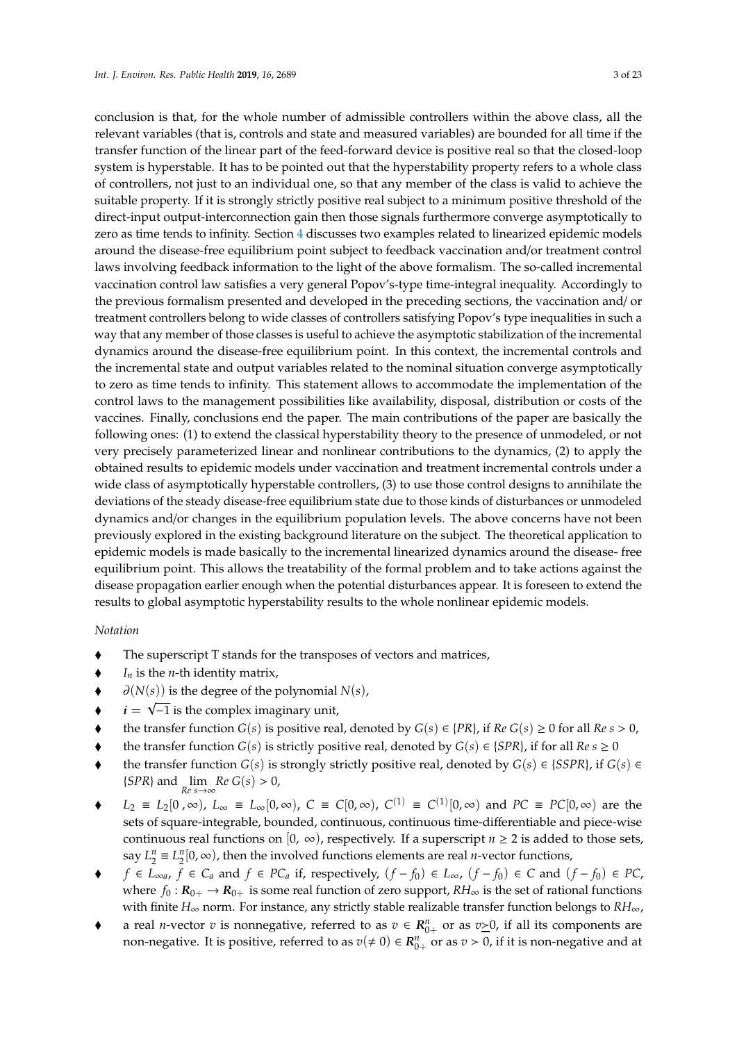conclusion is that, for the whole number of admissible controllers within the above class, all the relevant variables (that is, controls and state and measured variables) are bounded for all time if the transfer function of the linear part of the feed-forward device is positive real so that the closed-loop system is hyperstable. It has to be pointed out that the hyperstability property refers to a whole class of controllers, not just to an individual one, so that any member of the class is valid to achieve the suitable property. If it is strongly strictly positive real subject to a minimum positive threshold of the direct-input output-interconnection gain then those signals furthermore converge asymptotically to zero as time tends to infinity. Section [4](#page-16-0) discusses two examples related to linearized epidemic models around the disease-free equilibrium point subject to feedback vaccination and/or treatment control laws involving feedback information to the light of the above formalism. The so-called incremental vaccination control law satisfies a very general Popov's-type time-integral inequality. Accordingly to the previous formalism presented and developed in the preceding sections, the vaccination and/ or treatment controllers belong to wide classes of controllers satisfying Popov's type inequalities in such a way that any member of those classes is useful to achieve the asymptotic stabilization of the incremental dynamics around the disease-free equilibrium point. In this context, the incremental controls and the incremental state and output variables related to the nominal situation converge asymptotically to zero as time tends to infinity. This statement allows to accommodate the implementation of the control laws to the management possibilities like availability, disposal, distribution or costs of the vaccines. Finally, conclusions end the paper. The main contributions of the paper are basically the following ones: (1) to extend the classical hyperstability theory to the presence of unmodeled, or not very precisely parameterized linear and nonlinear contributions to the dynamics, (2) to apply the obtained results to epidemic models under vaccination and treatment incremental controls under a wide class of asymptotically hyperstable controllers, (3) to use those control designs to annihilate the deviations of the steady disease-free equilibrium state due to those kinds of disturbances or unmodeled dynamics and/or changes in the equilibrium population levels. The above concerns have not been previously explored in the existing background literature on the subject. The theoretical application to epidemic models is made basically to the incremental linearized dynamics around the disease- free equilibrium point. This allows the treatability of the formal problem and to take actions against the disease propagation earlier enough when the potential disturbances appear. It is foreseen to extend the results to global asymptotic hyperstability results to the whole nonlinear epidemic models.

#### *Notation*

- The superscript T stands for the transposes of vectors and matrices,
- $I_n$  is the *n*-th identity matrix,
- $\blacklozenge$   $\partial(N(s))$  is the degree of the polynomial  $N(s)$ ,
- $\bullet$  *i* =  $\sqrt{-1}$  is the complex imaginary unit,
- the transfer function  $G(s)$  is positive real, denoted by  $G(s) \in \{PR\}$ , if  $Re\ G(s) \geq 0$  for all  $Re\ s > 0$ ,
- the transfer function *G*(*s*) is strictly positive real, denoted by *G*(*s*)  $\in$  {*SPR*}, if for all *Re s*  $\geq$  0
- the transfer function *G*(*s*) is strongly strictly positive real, denoted by *G*(*s*) ∈ {*SSPR*}, if *G*(*s*) ∈ {*SPR*} and  $\lim_{Re s \to \infty}$ *Re G*(*s*) > 0,
- $L_2$  ≡ *L*<sub>2</sub>[0, ∞), *L*<sub>∞</sub> ≡ *L*<sub>∞</sub>[0, ∞), *C* ≡ *C*[0, ∞), *C*<sup>(1)</sup> ≡ *C*<sup>(1)</sup>[0, ∞) and *PC* ≡ *PC*[0, ∞) are the sets of square-integrable, bounded, continuous, continuous time-differentiable and piece-wise continuous real functions on  $[0, \infty)$ , respectively. If a superscript  $n \ge 2$  is added to those sets, say  $L_2^n \equiv L_2^n[0, \infty)$ , then the involved functions elements are real *n*-vector functions,
- *f* ∈ *L*<sub>∞*a*</sub>, *f* ∈ *C*<sub>*a*</sub> and *f* ∈ *PC*<sub>*a*</sub> if, respectively,  $(f f_0) \in L_\infty$ ,  $(f f_0) \in C$  and  $(f f_0) \in PC$ , where  $f_0: \mathbb{R}_{0+} \to \mathbb{R}_{0+}$  is some real function of zero support,  $RH_\infty$  is the set of rational functions with finite *H*∞ norm. For instance, any strictly stable realizable transfer function belongs to *RH*∞,
- **◆** a real *n*-vector *v* is nonnegative, referred to as  $v \in \mathbb{R}_{0+}^n$  or as  $v \ge 0$ , if all its components are non-negative. It is positive, referred to as  $v(\neq 0) \in R_{0+}^n$  or as  $v > 0$ , if it is non-negative and at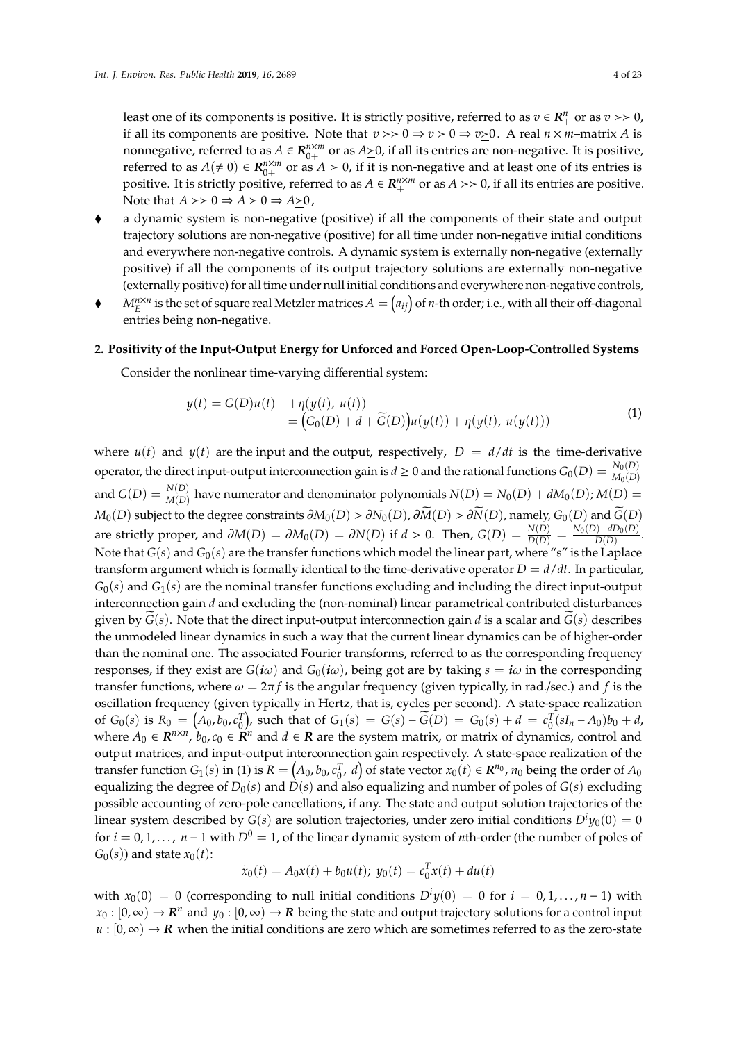least one of its components is positive. It is strictly positive, referred to as  $v \in R^n_+$  or as  $v \gg 0$ , if all its components are positive. Note that  $v \gt 0 \Rightarrow v > 0 \Rightarrow v \ge 0$ . A real  $n \times m$ –matrix *A* is nonnegative, referred to as  $A \in \mathbb{R}_{0+}^{n \times m}$  or as  $A \ge 0$ , if all its entries are non-negative. It is positive, referred to as  $A(\neq 0) \in \mathbb{R}_{0+}^{n \times m}$  or as  $A > 0$ , if it is non-negative and at least one of its entries is positive. It is strictly positive, referred to as  $A \in \mathbb{R}^{n \times m}_{+}$  or as  $A \gg 0$ , if all its entries are positive. Note that  $A \rightarrow 0 \Rightarrow A \rightarrow 0 \Rightarrow A \rightarrow 0$ ,

- a dynamic system is non-negative (positive) if all the components of their state and output trajectory solutions are non-negative (positive) for all time under non-negative initial conditions and everywhere non-negative controls. A dynamic system is externally non-negative (externally positive) if all the components of its output trajectory solutions are externally non-negative (externally positive) for all time under null initial conditions and everywhere non-negative controls,
- $M_E^{n\times n}$  is the set of square real Metzler matrices  $A=\left(a_{ij}\right)$  of *n*-th order; i.e., with all their off-diagonal entries being non-negative.

#### <span id="page-3-0"></span>**2. Positivity of the Input-Output Energy for Unforced and Forced Open-Loop-Controlled Systems**

Consider the nonlinear time-varying differential system:

$$
y(t) = G(D)u(t) + \eta(y(t), u(t))
$$
  
=  $(G_0(D) + d + \widetilde{G}(D))u(y(t)) + \eta(y(t), u(y(t)))$  (1)

where  $u(t)$  and  $y(t)$  are the input and the output, respectively,  $D = d/dt$  is the time-derivative operator, the direct input-output interconnection gain is  $d \ge 0$  and the rational functions  $G_0(D) = \frac{N_0(D)}{M_0(D)}$  $M_0(D)$ and  $G(D) = \frac{N(D)}{M(D)}$  $\frac{N(D)}{M(D)}$  have numerator and denominator polynomials  $N(D) = N_0(D) + dM_0(D)$ ;  $M(D) =$ *M*<sub>0</sub>(*D*) subject to the degree constraints  $\partial M_0(D) > \partial N_0(D)$ ,  $\partial \widetilde{M}(D) > \partial \widetilde{N}(D)$ , namely,  $G_0(D)$  and  $\widetilde{G}(D)$ are strictly proper, and  $\partial M(D) = \partial M_0(D) = \partial N(D)$  if  $d > 0$ . Then,  $G(D) = \frac{N(D)}{D(D)}$  $\frac{N(D)}{D(D)} = \frac{N_0(D) + dD_0(D)}{D(D)}$  $\frac{D(D)}{D(D)}$ . Note that  $G(s)$  and  $G_0(s)$  are the transfer functions which model the linear part, where "s" is the Laplace transform argument which is formally identical to the time-derivative operator  $D = d/dt$ . In particular,  $G_0(s)$  and  $G_1(s)$  are the nominal transfer functions excluding and including the direct input-output interconnection gain *d* and excluding the (non-nominal) linear parametrical contributed disturbances given by  $G(s)$ . Note that the direct input-output interconnection gain *d* is a scalar and  $G(s)$  describes the unmodeled linear dynamics in such a way that the current linear dynamics can be of higher-order than the nominal one. The associated Fourier transforms, referred to as the corresponding frequency responses, if they exist are  $G(i\omega)$  and  $G_0(i\omega)$ , being got are by taking  $s = i\omega$  in the corresponding transfer functions, where  $\omega = 2\pi f$  is the angular frequency (given typically, in rad./sec.) and f is the oscillation frequency (given typically in Hertz, that is, cycles per second). A state-space realization of  $G_0(s)$  is  $R_0 = (A_0, b_0, c_0^T)$ , such that of  $G_1(s) = G(s) - \widetilde{G}(D) = G_0(s) + d = c_0^T(sI_n - A_0)b_0 + d$ where  $A_0 \in \mathbb{R}^{n \times n}$ ,  $b_0$ ,  $c_0 \in \mathbb{R}^n$  and  $d \in \mathbb{R}$  are the system matrix, or matrix of dynamics, control and output matrices, and input-output interconnection gain respectively. A state-space realization of the transfer function  $G_1(s)$  in (1) is  $R = (A_0, b_0, c_0^T, d)$  of state vector  $x_0(t) \in R^{n_0}$ ,  $n_0$  being the order of  $A_0$ equalizing the degree of  $D_0(s)$  and  $D(s)$  and also equalizing and number of poles of  $G(s)$  excluding possible accounting of zero-pole cancellations, if any. The state and output solution trajectories of the linear system described by  $G(s)$  are solution trajectories, under zero initial conditions  $D^{i}y_{0}(0) = 0$ for *i* = 0, 1, . . . , *n* − 1 with *D*<sup>0</sup> = 1, of the linear dynamic system of *n*th-order (the number of poles of  $G_0(s)$ ) and state  $x_0(t)$ :

$$
\dot{x}_0(t) = A_0 x(t) + b_0 u(t); \ y_0(t) = c_0^T x(t) + du(t)
$$

with  $x_0(0) = 0$  (corresponding to null initial conditions  $D^i y(0) = 0$  for  $i = 0,1,...,n-1$ ) with  $x_0:[0,\infty)\to\mathbf{R}^n$  and  $y_0:[0,\infty)\to\mathbf{R}$  being the state and output trajectory solutions for a control input  $u : [0, \infty) \to \mathbb{R}$  when the initial conditions are zero which are sometimes referred to as the zero-state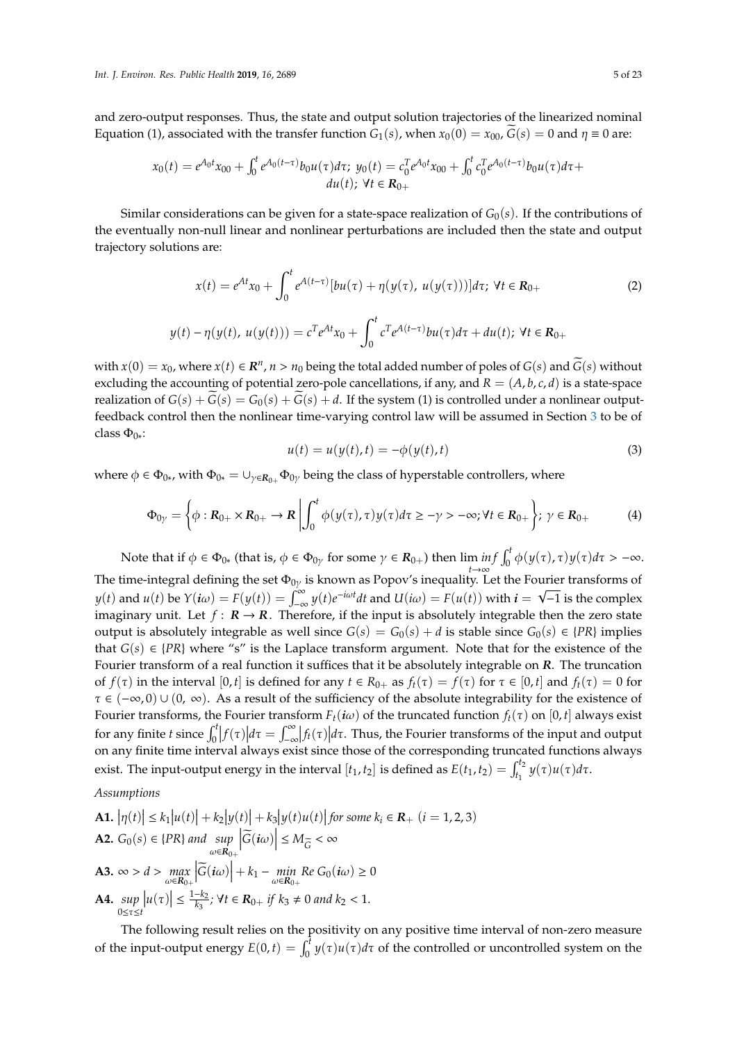and zero-output responses. Thus, the state and output solution trajectories of the linearized nominal Equation (1), associated with the transfer function *G*<sub>1</sub>(*s*), when  $x_0(0) = x_{00}$ , *G*(*s*) = 0 and  $\eta \equiv 0$  are:

$$
x_0(t) = e^{A_0t}x_{00} + \int_0^t e^{A_0(t-\tau)}b_0u(\tau)d\tau; \ y_0(t) = c_0^Te^{A_0t}x_{00} + \int_0^t c_0^Te^{A_0(t-\tau)}b_0u(\tau)d\tau +
$$
  

$$
du(t); \ \forall t \in \mathbf{R}_{0+}
$$

Similar considerations can be given for a state-space realization of  $G_0(s)$ . If the contributions of the eventually non-null linear and nonlinear perturbations are included then the state and output trajectory solutions are:

$$
x(t) = e^{At}x_0 + \int_0^t e^{A(t-\tau)}[bu(\tau) + \eta(y(\tau), u(y(\tau)))]d\tau; \ \forall t \in \mathbf{R}_{0+}
$$
  

$$
y(t) - \eta(y(t), u(y(t))) = c^T e^{At}x_0 + \int_0^t c^T e^{A(t-\tau)}bu(\tau)d\tau + du(t); \ \forall t \in \mathbf{R}_{0+}
$$
 (2)

with  $x(0) = x_0$ , where  $x(t) \in \mathbb{R}^n$ ,  $n > n_0$  being the total added number of poles of  $G(s)$  and  $\overline{G}(s)$  without excluding the accounting of potential zero-pole cancellations, if any, and  $R = (A, b, c, d)$  is a state-space realization of  $G(s) + G(s) = G_0(s) + G(s) + d$ . If the system (1) is controlled under a nonlinear outputfeedback control then the nonlinear time-varying control law will be assumed in Section [3](#page-12-0) to be of class  $\Phi_{0*}$ :

$$
u(t) = u(y(t), t) = -\phi(y(t), t)
$$
\n(3)

where  $\phi \in \Phi_{0*}$ , with  $\Phi_{0*} = \cup_{\gamma \in R_{0+}} \Phi_{0\gamma}$  being the class of hyperstable controllers, where

$$
\Phi_{0\gamma} = \left\{ \phi : \mathbf{R}_{0+} \times \mathbf{R}_{0+} \to \mathbf{R} \middle| \int_0^t \phi(y(\tau), \tau) y(\tau) d\tau \ge -\gamma > -\infty; \forall t \in \mathbf{R}_{0+} \right\}; \ \gamma \in \mathbf{R}_{0+} \tag{4}
$$

Note that if  $\phi \in \Phi_{0*}$  (that is,  $\phi \in \Phi_{0\gamma}$  for some  $\gamma \in \mathbf{R}_{0+}$ ) then  $\liminf_{t \to \infty} \int_0^t \phi(y(\tau), \tau) y(\tau) d\tau > -\infty$ . *t*→∞ The time-integral defining the set  $\Phi_{0\gamma}$  is known as Popov's inequality. Let the Fourier transforms of  $y(t)$  and  $u(t)$  be  $Y(i\omega) = F(y(t)) = \int_{-\infty}^{\infty} y(t)e^{-i\omega t}dt$  and  $U(i\omega) = F(u(t))$  with  $i = \sqrt{-1}$  is the complex imaginary unit. Let  $f : \mathbf{R} \to \mathbf{R}$ . Therefore, if the input is absolutely integrable then the zero state output is absolutely integrable as well since  $G(s) = G_0(s) + d$  is stable since  $G_0(s) \in \{PR\}$  implies that  $G(s) \in \{PR\}$  where "s" is the Laplace transform argument. Note that for the existence of the Fourier transform of a real function it suffices that it be absolutely integrable on *R*. The truncation of  $f(\tau)$  in the interval [0, *t*] is defined for any  $t \in R_{0+}$  as  $f_t(\tau) = f(\tau)$  for  $\tau \in [0, t]$  and  $f_t(\tau) = 0$  for  $\tau \in (-\infty, 0) \cup (0, \infty)$ . As a result of the sufficiency of the absolute integrability for the existence of Fourier transforms, the Fourier transform  $F_t(i\omega)$  of the truncated function  $f_t(\tau)$  on [0, *t*] always exist for any finite *t* since  $\int_0^t |f(\tau)| d\tau = \int_{-\infty}^{\infty} |f_t(\tau)| d\tau$ . Thus, the Fourier transforms of the input and output on any finite time interval always exist since those of the corresponding truncated functions always exist. The input-output energy in the interval  $[t_1, t_2]$  is defined as  $E(t_1, t_2) = \int_{t_1}^{t_2} y(\tau)u(\tau)d\tau$ .

*Assumptions*

**A1.** 
$$
|\eta(t)| \leq k_1 |u(t)| + k_2 |y(t)| + k_3 |y(t)u(t)|
$$
 for some  $k_i \in \mathbb{R}_+$   $(i = 1, 2, 3)$ \n**A2.**  $G_0(s) \in \{PR\}$  and  $\sup_{\omega \in \mathbb{R}_{0+}} \left| \widetilde{G}(i\omega) \right| \leq M_{\widetilde{G}} < \infty$ \n**A3.**  $\infty > d > \max_{\omega \in \mathbb{R}_{0+}} \left| \widetilde{G}(i\omega) \right| + k_1 - \min_{\omega \in \mathbb{R}_{0+}} \text{Re } G_0(i\omega) \geq 0$ \n**A4.**  $\sup_{0 \leq \tau \leq t} |u(\tau)| \leq \frac{1-k_2}{k_3}; \forall t \in \mathbb{R}_{0+} \text{ if } k_3 \neq 0 \text{ and } k_2 < 1.$ 

The following result relies on the positivity on any positive time interval of non-zero measure of the input-output energy  $E(0, t) = \int_0^t y(\tau)u(\tau)d\tau$  of the controlled or uncontrolled system on the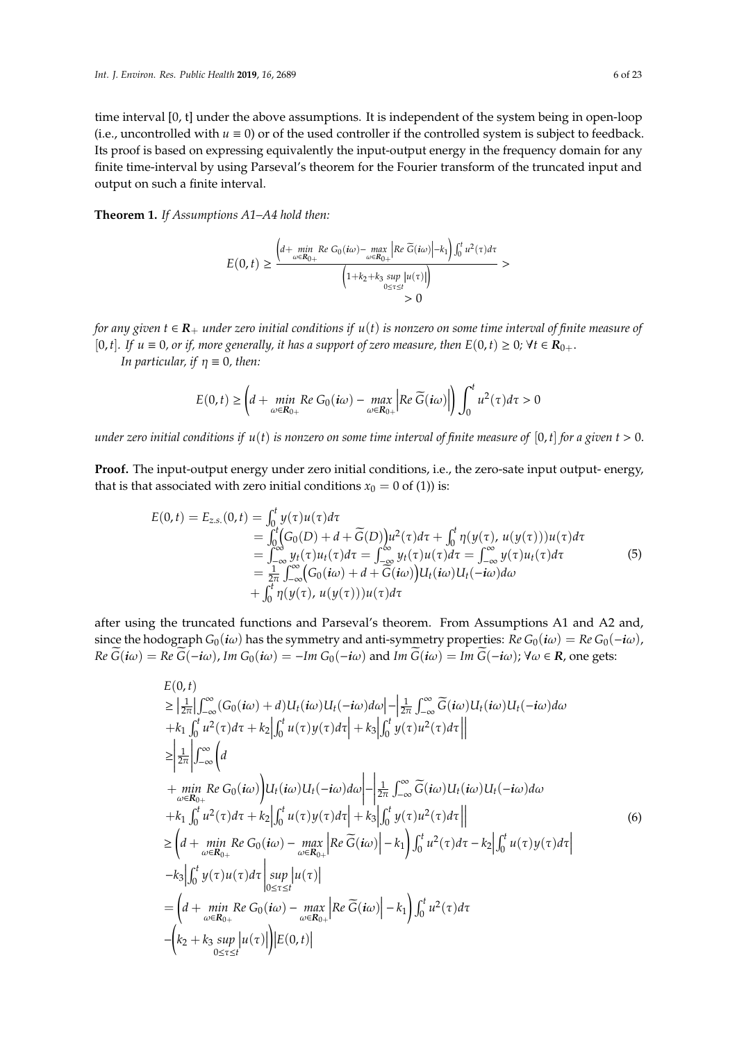time interval [0, t] under the above assumptions. It is independent of the system being in open-loop (i.e., uncontrolled with  $u \equiv 0$ ) or of the used controller if the controlled system is subject to feedback. Its proof is based on expressing equivalently the input-output energy in the frequency domain for any finite time-interval by using Parseval's theorem for the Fourier transform of the truncated input and output on such a finite interval.

**Theorem 1.** *If Assumptions A1–A4 hold then:*

$$
E(0,t) \ge \frac{\left( d + \min_{\omega \in R_{0+}} \text{Re } G_0(i\omega) - \max_{\omega \in R_{0+}} \left| \text{Re } \widetilde{G}(i\omega) \right| - k_1 \right) \int_0^t u^2(\tau) d\tau}{\left( 1 + k_2 + k_3 \sup_{0 \le \tau \le t} |u(\tau)| \right)} > 0
$$

*for any given t* ∈ *R*<sup>+</sup> *under zero initial conditions if u*(*t*) *is nonzero on some time interval of finite measure of* [0, *t*]. If  $u \equiv 0$ , or if, more generally, it has a support of zero measure, then  $E(0, t) \ge 0$ ; ∀*t* ∈  $R_{0+}$ .

*In particular, if*  $\eta \equiv 0$ *, then:* 

$$
E(0,t) \ge \left(d + \min_{\omega \in \mathbf{R}_{0+}} \text{Re } G_0(i\omega) - \max_{\omega \in \mathbf{R}_{0+}} \left| \text{Re } \widetilde{G}(i\omega) \right| \right) \int_0^t u^2(\tau) d\tau > 0
$$

*under zero initial conditions if*  $u(t)$  *is nonzero on some time interval of finite measure of* [0,*t*] *for a given t* > 0.

**Proof.** The input-output energy under zero initial conditions, i.e., the zero-sate input output- energy, that is that associated with zero initial conditions  $x_0 = 0$  of (1)) is:

$$
E(0,t) = E_{z.s.}(0,t) = \int_0^t y(\tau)u(\tau)d\tau
$$
  
\n
$$
= \int_0^t (G_0(D) + d + \widetilde{G}(D))u^2(\tau)d\tau + \int_0^t \eta(y(\tau), u(y(\tau)))u(\tau)d\tau
$$
  
\n
$$
= \int_{-\infty}^{\infty} y_t(\tau)u_t(\tau)d\tau = \int_{-\infty}^{\infty} y_t(\tau)u(\tau)d\tau = \int_{-\infty}^{\infty} y(\tau)u_t(\tau)d\tau
$$
  
\n
$$
= \frac{1}{2\pi} \int_{-\infty}^{\infty} (G_0(i\omega) + d + \widetilde{G}(i\omega))U_t(i\omega)U_t(-i\omega)d\omega
$$
  
\n
$$
+ \int_0^t \eta(y(\tau), u(y(\tau)))u(\tau)d\tau
$$
\n(5)

after using the truncated functions and Parseval's theorem. From Assumptions A1 and A2 and, since the hodograph *G*<sub>0</sub>( $i\omega$ ) has the symmetry and anti-symmetry properties: *Re G*<sub>0</sub>( $i\omega$ ) = *Re G*<sub>0</sub>( $-i\omega$ ),  $Re \ \widetilde{G}(i\omega) = Re \ \widetilde{G}(-i\omega)$ , *Im*  $G_0(i\omega) = -Im \ G_0(-i\omega)$  and  $Im \ \widetilde{G}(i\omega) = Im \ \widetilde{G}(-i\omega)$ ;  $\forall \omega \in \mathbb{R}$ , one gets:

$$
E(0,t)
$$
\n
$$
\geq \left| \frac{1}{2\pi} \right| \int_{-\infty}^{\infty} (G_0(i\omega) + d) U_t(i\omega) U_t(-i\omega) d\omega \right| - \left| \frac{1}{2\pi} \int_{-\infty}^{\infty} \widetilde{G}(i\omega) U_t(i\omega) U_t(-i\omega) d\omega \right|
$$
\n
$$
+ k_1 \int_0^t u^2(\tau) d\tau + k_2 \left| \int_0^t u(\tau) y(\tau) d\tau \right| + k_3 \left| \int_0^t y(\tau) u^2(\tau) d\tau \right|
$$
\n
$$
\geq \left| \frac{1}{2\pi} \right| \int_{-\infty}^{\infty} \left( d \tau + \min_{\omega \in \mathbb{R}_{0+}} \text{Re } G_0(i\omega) \right) U_t(i\omega) U_t(-i\omega) d\omega \right| - \left| \frac{1}{2\pi} \int_{-\infty}^{\infty} \widetilde{G}(i\omega) U_t(i\omega) U_t(-i\omega) d\omega \right|
$$
\n
$$
+ k_1 \int_0^t u^2(\tau) d\tau + k_2 \left| \int_0^t u(\tau) y(\tau) d\tau \right| + k_3 \left| \int_0^t y(\tau) u^2(\tau) d\tau \right|
$$
\n
$$
\geq \left( d + \min_{\omega \in \mathbb{R}_{0+}} \text{Re } G_0(i\omega) - \max_{\omega \in \mathbb{R}_{0+}} \left| \text{Re } \widetilde{G}(i\omega) \right| - k_1 \right) \int_0^t u^2(\tau) d\tau - k_2 \left| \int_0^t u(\tau) y(\tau) d\tau \right|
$$
\n
$$
- k_3 \left| \int_0^t y(\tau) u(\tau) d\tau \right| \sup_{0 \leq \tau \leq t} |u(\tau)|
$$
\n
$$
= \left( d + \min_{\omega \in \mathbb{R}_{0+}} \text{Re } G_0(i\omega) - \max_{\omega \in \mathbb{R}_{0+}} \left| \text{Re } \widetilde{G}(i\omega) \right| - k_1 \right) \int_0^t u^2(\tau) d\tau
$$
\n
$$
- \left( k_
$$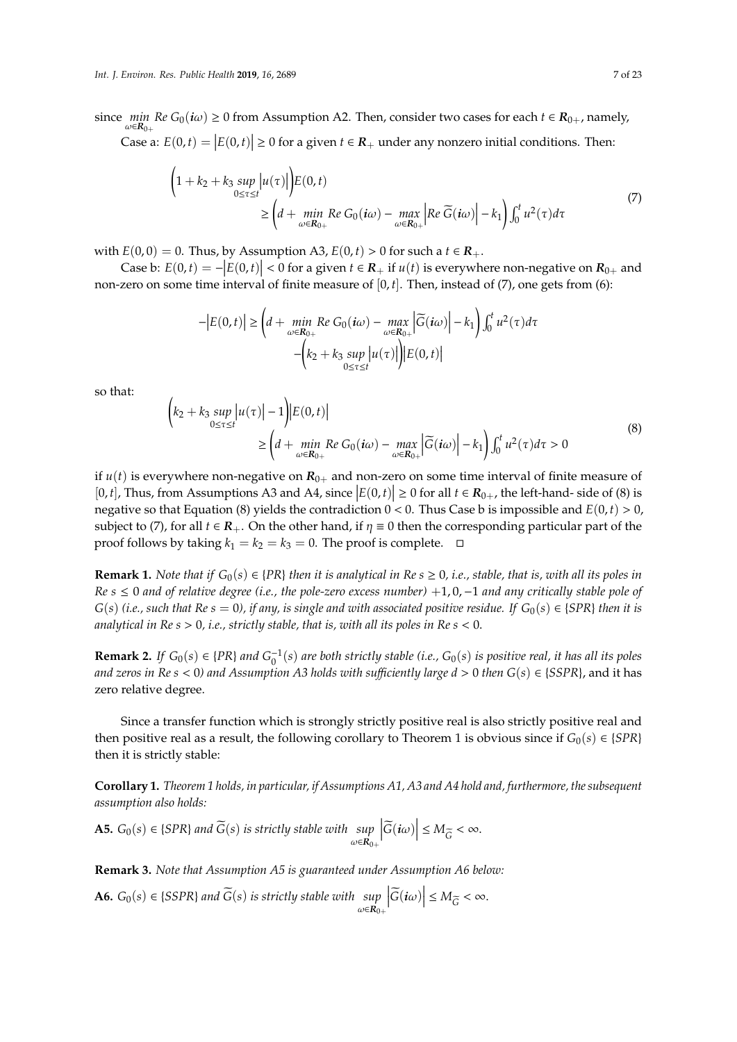since  $\min_{\omega \in R_{0+}}$  *Re*  $G_0(i\omega) \ge 0$  from Assumption A2. Then, consider two cases for each  $t \in R_{0+}$ , namely,

Case a:  $E(0, t) = |E(0, t)| \ge 0$  for a given  $t \in \mathbb{R}_+$  under any nonzero initial conditions. Then:

$$
\left(1 + k_2 + k_3 \sup_{0 \le \tau \le t} |u(\tau)|\right) E(0, t)
$$
\n
$$
\ge \left(d + \min_{\omega \in \mathbb{R}_{0+}} \text{Re } G_0(i\omega) - \max_{\omega \in \mathbb{R}_{0+}} \left|\text{Re } \widetilde{G}(i\omega)\right| - k_1\right) \int_0^t u^2(\tau) d\tau
$$
\n(7)

with  $E(0, 0) = 0$ . Thus, by Assumption A3,  $E(0, t) > 0$  for such a  $t \in \mathbb{R}_+$ .

Case b:  $E(0, t) = -|E(0, t)| < 0$  for a given  $t \in \mathbb{R}_+$  if  $u(t)$  is everywhere non-negative on  $\mathbb{R}_{0+}$  and non-zero on some time interval of finite measure of  $[0, t]$ . Then, instead of  $(7)$ , one gets from (6):

$$
-|E(0,t)| \geq \left(d + \min_{\omega \in \mathcal{R}_{0+}} \text{Re } G_0(i\omega) - \max_{\omega \in \mathcal{R}_{0+}} |\widetilde{G}(i\omega)| - k_1\right) \int_0^t u^2(\tau) d\tau
$$

$$
- \left(k_2 + k_3 \sup_{0 \leq \tau \leq t} |u(\tau)|\right) |E(0,t)|
$$

so that:

$$
\begin{aligned} \left(k_2 + k_3 \sup_{0 \le \tau \le t} |u(\tau)| - 1\right) &|E(0, t)| \\ &\ge \left(d + \min_{\omega \in \mathbb{R}_{0+}} \text{Re } G_0(i\omega) - \max_{\omega \in \mathbb{R}_{0+}} \left|\widetilde{G}(i\omega)\right| - k_1\right) \int_0^t u^2(\tau) d\tau > 0 \end{aligned} \tag{8}
$$

if  $u(t)$  is everywhere non-negative on  $R_{0+}$  and non-zero on some time interval of finite measure of [0, *t*], Thus, from Assumptions A3 and A4, since  $|E(0, t)| \ge 0$  for all  $t \in R_{0+}$ , the left-hand- side of (8) is negative so that Equation (8) yields the contradiction  $0 < 0$ . Thus Case b is impossible and  $E(0, t) > 0$ , subject to (7), for all  $t \in \mathbb{R}_+$ . On the other hand, if  $\eta \equiv 0$  then the corresponding particular part of the proof follows by taking  $k_1 = k_2 = k_3 = 0$ . The proof is complete.  $\Box$ 

**Remark 1.** *Note that if*  $G_0(s) \in \{PR\}$  *then it is analytical in*  $Re\ s \geq 0$ *, i.e., stable, that is, with all its poles in Re s* ≤ 0 *and of relative degree (i.e., the pole-zero excess number)* +1, 0,−1 *and any critically stable pole of*  $G(s)$  *(i.e., such that*  $Re s = 0$ *), if any, is single and with associated positive residue. If*  $G_0(s) \in \{SPR\}$  *then it is analytical in Re s* > 0*, i.e., strictly stable, that is, with all its poles in Re s* < 0.

**Remark 2.** If  $G_0(s) \in \{PR\}$  and  $G_0^{-1}(s)$  are both strictly stable (i.e.,  $G_0(s)$  is positive real, it has all its poles *and zeros in Re s* < 0*) and Assumption A3 holds with sufficiently large*  $d > 0$  *<i>then*  $G(s) \in \{SSPR\}$ , and it has zero relative degree.

Since a transfer function which is strongly strictly positive real is also strictly positive real and then positive real as a result, the following corollary to Theorem 1 is obvious since if  $G_0(s) \in \{SPR\}$ then it is strictly stable:

**Corollary 1.** *Theorem 1 holds, in particular, if Assumptions A1, A3 and A4 hold and, furthermore, the subsequent assumption also holds:*

**A5.**  $G_0(s) \in \{SPR\}$  and  $\widetilde{G}(s)$  is strictly stable with  $\sup_{\omega \in R_{0+}}$  $\left|\widetilde{G}(i\omega)\right| \leq M_{\widetilde{G}} < \infty.$ 

**Remark 3.** *Note that Assumption A5 is guaranteed under Assumption A6 below:*

**A6.**  $G_0(s) \in \{SSPR\}$  and  $\widetilde{G}(s)$  *is strictly stable with*  $\sup_{\omega \in \mathbf{R}_{0+}}$  $\left|\widetilde{G}(i\omega)\right| \leq M_{\widetilde{G}} < \infty.$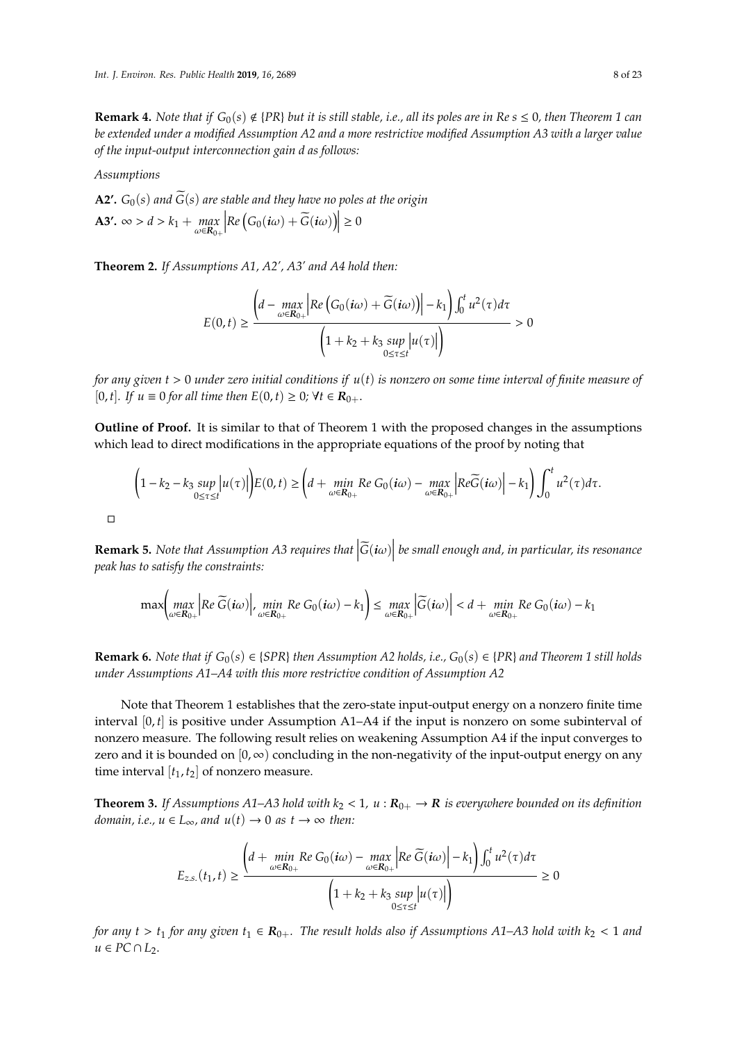**Remark 4.** *Note that if*  $G_0(s) \notin \{PR\}$  *but it is still stable, i.e., all its poles are in*  $Re\ s \leq 0$ *, then Theorem 1 can be extended under a modified Assumption A2 and a more restrictive modified Assumption A3 with a larger value of the input-output interconnection gain d as follows:*

*Assumptions*

 $\Box$ 

**A2'.**  $G_0(s)$  and  $\widetilde{G}(s)$  are stable and they have no poles at the origin **A3'.** ∞ > *d* > *k*<sub>1</sub> + *max*<sub>*ω*∈*R*<sub>0+</sub></sub>  $\left|Re\left(G_0(i\omega)+\widetilde{G}(i\omega)\right)\right|\geq 0$ 

**Theorem 2.** *If Assumptions A1, A2', A3' and A4 hold then:*

$$
E(0,t) \geq \frac{\left(d - \max_{\omega \in \mathbb{R}_{0+}} \left| Re\left(G_0(i\omega) + \widetilde{G}(i\omega)\right)\right| - k_1\right) \int_0^t u^2(\tau) d\tau}{\left(1 + k_2 + k_3 \sup_{0 \leq \tau \leq t} |u(\tau)|\right)} > 0
$$

*for any given t* > 0 *under zero initial conditions if u*(*t*) *is nonzero on some time interval of finite measure of* [0, *t*]. If *u* ≡ 0 *for all time then*  $E(0, t) \ge 0$ *;*  $\forall t \in \mathbb{R}_{0+}$ .

**Outline of Proof.** It is similar to that of Theorem 1 with the proposed changes in the assumptions which lead to direct modifications in the appropriate equations of the proof by noting that

$$
\left(1-k_2-k_3\sup_{0\leq\tau\leq t}\left|u(\tau)\right|\right)E(0,t)\geq\left(d+\min_{\omega\in R_{0+}}\text{Re}\ G_0(i\omega)-\max_{\omega\in R_{0+}}\left|\text{Re}\widetilde{G}(i\omega)\right|-k_1\right)\int_0^t u^2(\tau)d\tau.
$$

 ${\bf Remark~5.}$  *Note that Assumption A3 requires that*  $\big|\widetilde{G}(i\omega)\big|$  *be small enough and, in particular, its resonance peak has to satisfy the constraints:*

$$
\max\left(\max_{\omega\in R_{0+}}\left|Re\ \widetilde{G}(i\omega)\right|, \min_{\omega\in R_{0+}}Re\ G_0(i\omega)-k_1\right)\leq \max_{\omega\in R_{0+}}\left|\widetilde{G}(i\omega)\right|
$$

**Remark 6.** *Note that if*  $G_0(s) \in \{SPR\}$  *then Assumption A2 holds, i.e.,*  $G_0(s) \in \{PR\}$  *and Theorem 1 still holds under Assumptions A1–A4 with this more restrictive condition of Assumption A2*

Note that Theorem 1 establishes that the zero-state input-output energy on a nonzero finite time interval [0, *t*] is positive under Assumption A1–A4 if the input is nonzero on some subinterval of nonzero measure. The following result relies on weakening Assumption A4 if the input converges to zero and it is bounded on  $[0, \infty)$  concluding in the non-negativity of the input-output energy on any time interval  $[t_1, t_2]$  of nonzero measure.

**Theorem 3.** *If Assumptions A1–A3 hold with*  $k_2 < 1$ ,  $u : \mathbf{R}_{0+} \to \mathbf{R}$  *is everywhere bounded on its definition domain, i.e.,*  $u \in L_{\infty}$ *, and*  $u(t) \to 0$  *as*  $t \to \infty$  *then:* 

$$
E_{z.s.}(t_1, t) \ge \frac{\left(d + \min_{\omega \in \mathbb{R}_{0+}} \text{Re } G_0(i\omega) - \max_{\omega \in \mathbb{R}_{0+}} \left| \text{Re } \widetilde{G}(i\omega) \right| - k_1\right) \int_0^t u^2(\tau) d\tau}{\left(1 + k_2 + k_3 \sup_{0 \le \tau \le t} |u(\tau)|\right)} \ge 0
$$

*for any*  $t > t_1$  *for any given*  $t_1 \in \mathbb{R}_{0+}$ *. The result holds also if Assumptions A1–A3 hold with*  $k_2 < 1$  *and*  $u \in PC \cap L_2$ .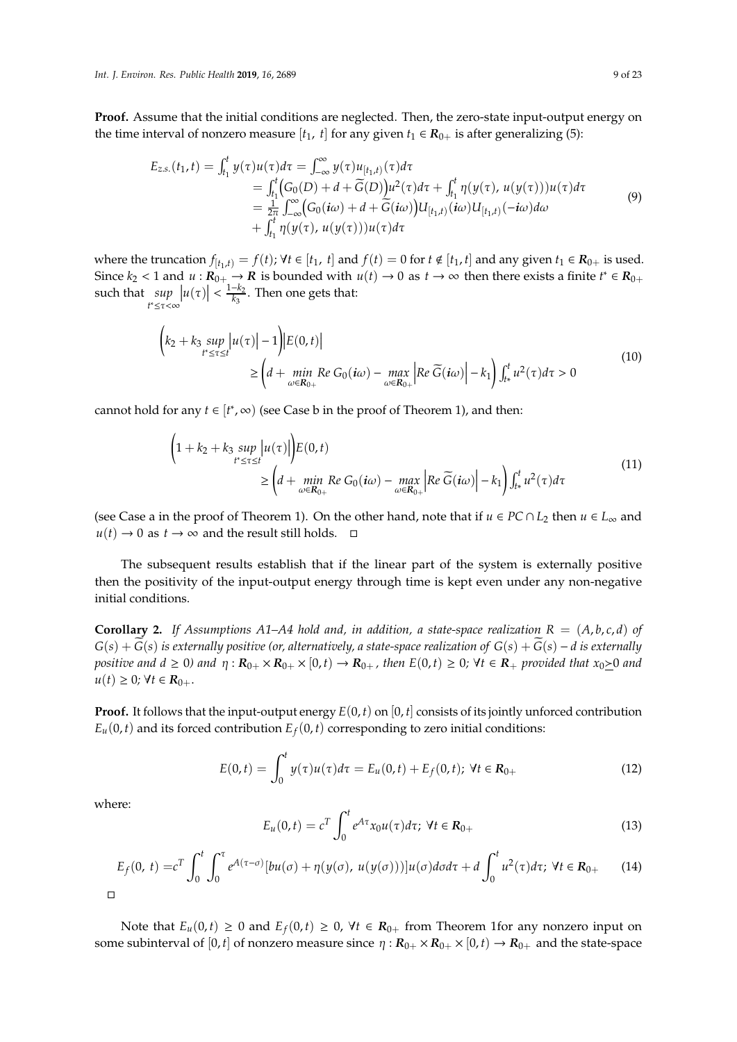**Proof.** Assume that the initial conditions are neglected. Then, the zero-state input-output energy on the time interval of nonzero measure [ $t_1$ ,  $t$ ] for any given  $t_1 \in \mathbb{R}_{0+}$  is after generalizing (5):

$$
E_{z.s.}(t_1, t) = \int_{t_1}^t y(\tau)u(\tau)d\tau = \int_{-\infty}^{\infty} y(\tau)u_{[t_1, t)}(\tau)d\tau = \int_{t_1}^t (G_0(D) + d + \widetilde{G}(D))u^2(\tau)d\tau + \int_{t_1}^t \eta(y(\tau), u(y(\tau)))u(\tau)d\tau = \frac{1}{2\pi} \int_{-\infty}^{\infty} (G_0(i\omega) + d + \widetilde{G}(i\omega))U_{[t_1, t)}(i\omega)U_{[t_1, t)}(-i\omega)d\omega + \int_{t_1}^t \eta(y(\tau), u(y(\tau)))u(\tau)d\tau
$$
(9)

where the truncation  $f_{[t_1,t]} = f(t)$ ;  $\forall t \in [t_1, t]$  and  $f(t) = 0$  for  $t \notin [t_1, t]$  and any given  $t_1 \in R_{0+}$  is used. Since  $k_2 < 1$  and  $u : \mathbf{R}_{0+} \to \mathbf{R}$  is bounded with  $u(t) \to 0$  as  $t \to \infty$  then there exists a finite  $t^* \in \mathbf{R}_{0+}$ such that *sup*  $|u(\tau)| < \frac{1-k_2}{k_3}$  $\frac{-\kappa_2}{k_3}$ . Then one gets that:

$$
t^*\leq \tau'<\infty
$$

$$
\begin{aligned} \left(k_2 + k_3 \sup_{t^* \leq \tau \leq t} \left|u(\tau)\right| - 1\right) &|E(0, t)| \\ &\geq \left(d + \min_{\omega \in \mathbb{R}_{0+}} \text{Re } G_0(i\omega) - \max_{\omega \in \mathbb{R}_{0+}} \left| \text{Re } \widetilde{G}(i\omega) \right| - k_1\right) \int_{t^*}^t u^2(\tau) d\tau > 0 \end{aligned} \tag{10}
$$

cannot hold for any  $t \in [t^*, \infty)$  (see Case b in the proof of Theorem 1), and then:

$$
\left(1 + k_2 + k_3 \sup_{t^* \leq \tau \leq t} |u(\tau)|\right) E(0, t)
$$
\n
$$
\geq \left(d + \min_{\omega \in R_{0+}} \text{Re } G_0(i\omega) - \max_{\omega \in R_{0+}} \left| \text{Re } \widetilde{G}(i\omega) \right| - k_1 \right) \int_{t^*}^t u^2(\tau) d\tau
$$
\n(11)

(see Case a in the proof of Theorem 1). On the other hand, note that if  $u \in PC \cap L_2$  then  $u \in L_\infty$  and  $u(t) \rightarrow 0$  as  $t \rightarrow \infty$  and the result still holds.  $\square$ 

The subsequent results establish that if the linear part of the system is externally positive then the positivity of the input-output energy through time is kept even under any non-negative initial conditions.

**Corollary 2.** If Assumptions A1–A4 hold and, in addition, a state-space realization  $R = (A, b, c, d)$  of  $G(s) + \widetilde{G}(s)$  *is externally positive (or, alternatively, a state-space realization of*  $G(s) + \widetilde{G}(s) - d$  *is externally positive and*  $d \ge 0$ *) and*  $\eta$ :  $R_{0+} \times R_{0+} \times [0,t) \to R_{0+}$ , then  $E(0,t) \ge 0$ ;  $\forall t \in R_+$  provided that  $x_0 \ge 0$  and *u*(*t*) ≥ 0*;*  $\forall$ *t* ∈  $R_{0+}$ .

**Proof.** It follows that the input-output energy  $E(0, t)$  on [0, *t*] consists of its jointly unforced contribution  $E_u(0,t)$  and its forced contribution  $E_f(0,t)$  corresponding to zero initial conditions:

$$
E(0,t) = \int_0^t y(\tau)u(\tau)d\tau = E_u(0,t) + E_f(0,t); \ \forall t \in \mathbf{R}_{0+}
$$
\n(12)

where:

$$
E_u(0,t) = c^T \int_0^t e^{A\tau} x_0 u(\tau) d\tau; \ \forall t \in \mathbf{R}_{0+}
$$
\n(13)

$$
E_f(0, t) = c^T \int_0^t \int_0^{\tau} e^{A(\tau - \sigma)} \left[ bu(\sigma) + \eta(y(\sigma), u(y(\sigma))) \right] u(\sigma) d\sigma d\tau + d \int_0^t u^2(\tau) d\tau; \ \forall t \in \mathbb{R}_{0+}
$$
 (14)

Note that  $E_u(0,t) \geq 0$  and  $E_f(0,t) \geq 0$ ,  $\forall t \in \mathbb{R}_{0+}$  from Theorem 1for any nonzero input on some subinterval of [0, *t*] of nonzero measure since  $\eta$  :  $R_{0+} \times R_{0+} \times [0,t] \to R_{0+}$  and the state-space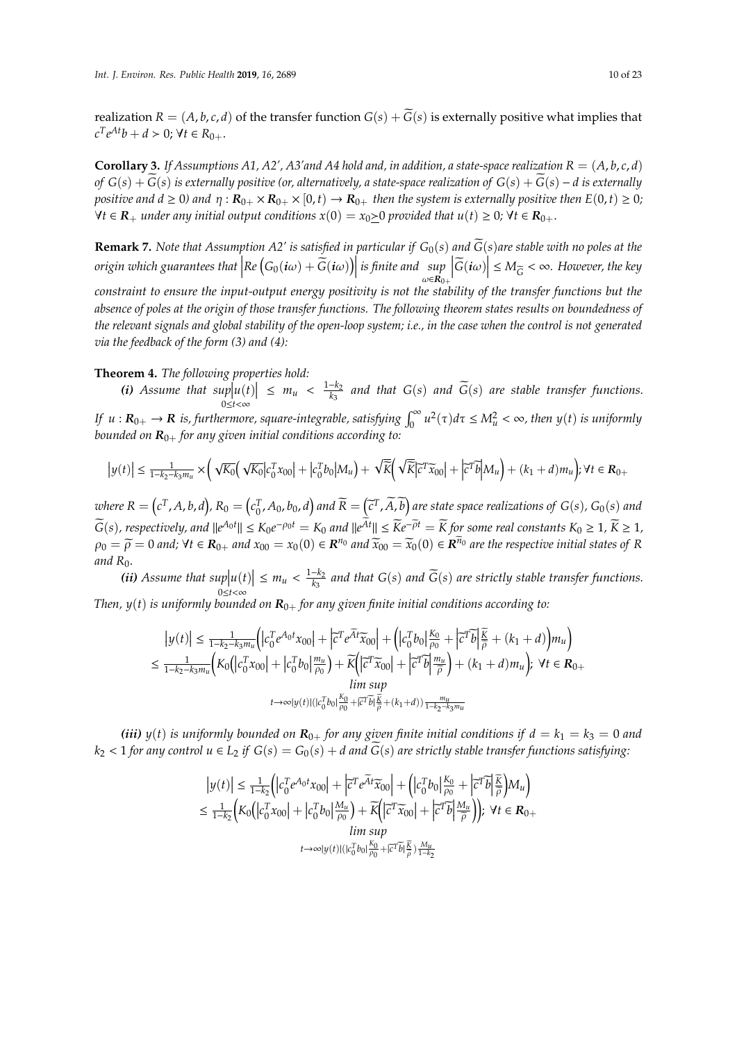realization  $R = (A, b, c, d)$  of the transfer function  $G(s) + \widetilde{G}(s)$  is externally positive what implies that  $c^T e^{At} b + d > 0$ ;  $\forall t \in R_{0+}.$ 

**Corollary 3.** If Assumptions A1, A2', A3'and A4 hold and, in addition, a state-space realization  $R = (A, b, c, d)$  $\sigma$ *f*  $G(s) + G(s)$  *is externally positive (or, alternatively, a state-space realization of*  $G(s) + G(s) - d$  *is externally positive and*  $d \ge 0$ *) and*  $\eta$ :  $R_{0+} \times R_{0+} \times [0,t] \to R_{0+}$  *then the system is externally positive then*  $E(0,t) \ge 0$ *; ∀t* ∈  $R_+$  *under any initial output conditions*  $x(0) = x_0$ >0 *provided that*  $u(t) \ge 0$ *;*  $\forall t \in R_{0+}$ .

**Remark 7.** Note that Assumption A2' is satisfied in particular if  $G_0(s)$  and  $\tilde{G}(s)$ are stable with no poles at the  $\sigma$  *origin which guarantees that*  $\left|Re\left(G_0(i\omega)+\widetilde{G}(i\omega)\right)\right|$  *<i>is finite and*  $\sup_{\omega\in\mathcal{R}_0}$  $ω∈R_0+$  $|\widetilde{G}(i\omega)| \leq M_{\widetilde{G}} < \infty$ . However, the key

*constraint to ensure the input-output energy positivity is not the stability of the transfer functions but the absence of poles at the origin of those transfer functions. The following theorem states results on boundedness of the relevant signals and global stability of the open-loop system; i.e., in the case when the control is not generated via the feedback of the form (3) and (4):*

**Theorem 4.** *The following properties hold:*

(*i*) Assume that  $\sup_{0 \le t < \infty} |u(t)|$ ≤ *m<sup>u</sup>* < 1−*k*<sup>2</sup>  $\frac{-\kappa_2}{k_3}$  and that  $G(s)$  and  $G(s)$  are stable transfer functions.

*If*  $u: \mathbf{R}_{0+} \to \mathbf{R}$  *is, furthermore, square-integrable, satisfying*  $\int_0^\infty u^2(\tau) d\tau \leq M_u^2 < \infty$ *, then*  $y(t)$  *is uniformly bounded on R*0+ *for any given initial conditions according to:*

$$
\left|y(t)\right| \leq \frac{1}{1-k_2-k_3m_u} \times \left(\sqrt{K_0}\left(\sqrt{K_0}\left|c_0^T x_{00}\right| + \left|c_0^T b_0\right|M_u\right| + \sqrt{\widetilde{K}}\left(\sqrt{\widetilde{K}}\left|\widetilde{c}^T \widetilde{x}_{00}\right| + \left|\widetilde{c}^T \widetilde{b}\right|M_u\right) + (k_1+d)m_u\right); \forall t \in \mathbb{R}_{0+}
$$

where  $R = \left(c^T, A, b, d\right)$ ,  $R_0 = \left(c_0^T, A_0, b_0, d\right)$  and  $\widetilde{R} = \left(\widetilde{c}^T, \widetilde{A}, \widetilde{b}\right)$  are state space realizations of  $G(s)$ ,  $G_0(s)$  and  $\widetilde{G}(s)$ , respectively, and  $||e^{A_0t}|| \leq K_0e^{-\rho_0t} = K_0$  and  $||e^{\widetilde{A}t}|| \leq \widetilde{K}e^{-\widetilde{\rho}t} = \widetilde{K}$  for some real constants  $K_0 \geq 1$ ,  $\widetilde{K} \geq 1$ ,  $\rho_0 = \widetilde{\rho} = 0$  and;  $\forall t \in \mathbf{R}_{0+}$  and  $x_{00} = x_0(0) \in \mathbb{R}^{n_0}$  and  $\widetilde{x}_{00} = \widetilde{x}_0(0) \in \mathbb{R}^{\widetilde{n}_0}$  are the respective initial states of R and  $R_0$ .

 $\left| \begin{array}{l}\n\mathbf{u}(t) & \text{if } t \leq m \\ \n\mathbf{u}(t) & \text{if } t \leq m \end{array} \right| \leq m_u < \frac{1 - k_2}{k_3}$ 0≤*t*<∞  $\frac{-\kappa_2}{k_3}$  and that  $G(s)$  and  $G(s)$  are strictly stable transfer functions. *Then, y*(*t*) *is uniformly bounded on R*0<sup>+</sup> *for any given finite initial conditions according to:*

$$
\begin{split} \left|y(t)\right| &\leq \tfrac{1}{1-k_2-k_3m_u} \Big( \left| c_0^T e^{A_0 t} x_{00}\right| + \left| \overline{c}^T e^{\widetilde{A}t} \widetilde{x}_{00}\right| + \left( \left| c_0^T b_0 \right| \tfrac{K_0}{\rho_0} + \left| \overline{c}^T \widetilde{b} \right| \tfrac{\widetilde{K}}{\rho} + (k_1 + d) \right) m_u \Big) \\ &\leq \tfrac{1}{1-k_2-k_3m_u} \Big( K_0 \Big( \left| c_0^T x_{00}\right| + \left| c_0^T b_0 \right| \tfrac{m_u}{\rho_0} \Big) + \widetilde{K} \Big( \left| \overline{c}^T \widetilde{x}_{00}\right| + \left| \overline{c}^T \widetilde{b} \right| \tfrac{m_u}{\rho} \Big) + (k_1 + d) m_u \Big); \ \forall t \in \mathbb{R}_0 + \\ &\limsup_{t \to \infty} y(t) |(|c_0^T b_0| \tfrac{K_0}{\rho_0} + |\overline{c}^T \widetilde{b}| \tfrac{\widetilde{K}}{\rho} + (k_1 + d)) \tfrac{m_u}{1-k_2-k_3m_u} \end{split}
$$

*(iii)*  $y(t)$  *is uniformly bounded on*  $\mathbf{R}_{0+}$  *for any given finite initial conditions if*  $d = k_1 = k_3 = 0$  *and*  $k_2$  < 1 *for any control u*  $\in$  *L*<sub>2</sub> *if*  $G(s) = G_0(s) + d$  *and*  $G(s)$  *are strictly stable transfer functions satisfying:* 

$$
\begin{split} \left|y(t)\right| &\leq \frac{1}{1-k_{2}} \Big( \left| c_{0}^{T} e^{A_{0}t} x_{00}\right| + \left| \overline{c}^{T} e^{\overline{A}t} \overline{x}_{00}\right| + \left( \left| c_{0}^{T} b_{0}\right| \frac{K_{0}}{\rho_{0}} + \left| \overline{c}^{T} \overline{b} \right| \frac{\overline{K}}{\rho} \Big) M_{u} \right) \\ &\leq \frac{1}{1-k_{2}} \Big( K_{0} \Big( \left| c_{0}^{T} x_{00}\right| + \left| c_{0}^{T} b_{0}\right| \frac{M_{u}}{\rho_{0}} \Big) + \overline{K} \Big( \left| \overline{c}^{T} \overline{x}_{00}\right| + \left| \overline{c}^{T} \overline{b} \right| \frac{M_{u}}{\rho} \Big) \Big); \ \forall t \in \mathbf{R}_{0+} \\ &\limsup_{t \to \infty} y(t) \big( \left| c_{0}^{T} b_{0}\right| \frac{K_{0}}{\rho_{0}} + \left| \overline{c}^{T} \overline{b} \right| \frac{\overline{K}}{\rho} \big) \frac{M_{u}}{1-k_{2}} \end{split}
$$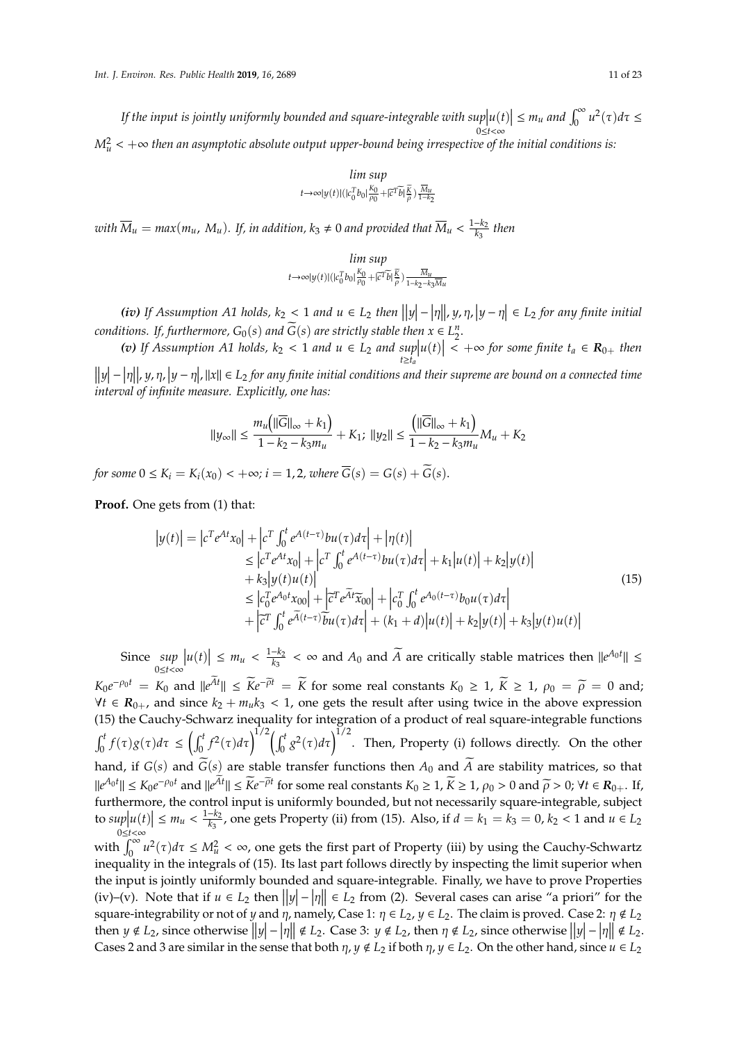*If the input is jointly uniformly bounded and square-integrable with*  $sup[u(t)] \le m_u$  *and*  $\int_0^\infty u^2(\tau) d\tau \le$ 0≤*t*<∞  $M_u^2<+\infty$  then an asymptotic absolute output upper-bound being irrespective of the initial conditions is:

$$
\limsup_{t\to\infty}|y(t)|(|c_0^Tb_0|\frac{K_0}{\rho_0}+|\widetilde{c}^T\widetilde{b}|\frac{\widetilde{K}}{\widetilde{\rho}})\frac{\overline{M}_u}{1-k_2}
$$

*with*  $\overline{M}_u = max(m_u, M_u)$ . If, in addition,  $k_3 \neq 0$  and provided that  $\overline{M}_u < \frac{1-k_2}{k_3}$  $\frac{-\kappa_2}{k_3}$  then

$$
\limsup_{t\to\infty}|y(t)|(|c_0^T b_0|\frac{k_0}{\rho_0}+|\overline{c}^T \widetilde{b}|\frac{\widetilde{K}}{\rho})\frac{\overline{M}_u}{1-k_2-k_3\overline{M}_u}
$$

*(iv) If Assumption A1 holds,*  $k_2 < 1$  *and*  $u \in L_2$  *then*  $|y| - |\eta|$  $|y, \eta, |y - \eta| \in L_2$  *for any finite initial conditions. If, furthermore,*  $G_0(s)$  *and*  $\widetilde{G}(s)$  *are strictly stable then*  $x \in L_2^n$ .

*(v)* If Assumption A1 holds,  $k_2 < 1$  and  $u \in L_2$  and sup *t*≥*t<sup>a</sup>*  $|u(t)| \leq +\infty$  for some finite  $t_a \in \mathbf{R}_{0+}$  then

 $||y| - |\eta||, y, \eta, |y - \eta|,$  ||x|| ∈ *L*<sub>2</sub> for any finite initial conditions and their supreme are bound on a connected time *interval of infinite measure. Explicitly, one has:*

$$
||y_{\infty}|| \le \frac{m_u(||\overline{G}||_{\infty} + k_1)}{1 - k_2 - k_3 m_u} + K_1; ||y_2|| \le \frac{(||\overline{G}||_{\infty} + k_1)}{1 - k_2 - k_3 m_u} M_u + K_2
$$

*for some*  $0 \le K_i = K_i(x_0) < +\infty$ ;  $i = 1, 2$ , where  $\overline{G}(s) = G(s) + \widetilde{G}(s)$ .

**Proof.** One gets from (1) that:

$$
\begin{split} |y(t)| &= \left| c^T e^{At} x_0 \right| + \left| c^T \int_0^t e^{A(t-\tau)} b u(\tau) d\tau \right| + \left| \eta(t) \right| \\ &\le \left| c^T e^{At} x_0 \right| + \left| c^T \int_0^t e^{A(t-\tau)} b u(\tau) d\tau \right| + k_1 |u(t)| + k_2 |y(t)| \\ &+ k_3 |y(t)u(t)| \\ &\le \left| c_0^T e^{A_0 t} x_{00} \right| + \left| \overline{c}^T e^{\widetilde{A}t} \overline{x}_{00} \right| + \left| c_0^T \int_0^t e^{A_0 (t-\tau)} b_0 u(\tau) d\tau \right| \\ &+ \left| \overline{c}^T \int_0^t e^{\widetilde{A} (t-\tau)} b u(\tau) d\tau \right| + (k_1 + d) |u(t)| + k_2 |y(t)| + k_3 |y(t)u(t)| \end{split} \tag{15}
$$

Since *sup* 0≤*t*<∞  $|u(t)| \leq m_u < \frac{1-k_2}{k_3}$  $\frac{-k_2}{k_3} < \infty$  and  $A_0$  and  $\widetilde{A}$  are critically stable matrices then  $||e^{A_0 t}|| \le$  $K_0e^{-\rho_0t} = K_0$  and  $||e^{\tilde{A}t}|| \leq \tilde{K}e^{-\tilde{\rho}t} = \tilde{K}$  for some real constants  $K_0 \geq 1$ ,  $\tilde{K} \geq 1$ ,  $\rho_0 = \tilde{\rho} = 0$  and; *∀t* ∈  $R_{0+}$ , and since  $k_2 + m_k k_3$  < 1, one gets the result after using twice in the above expression (15) the Cauchy-Schwarz inequality for integration of a product of real square-integrable functions  $\int_0^t f(\tau)g(\tau)d\tau \leq \left(\int_0^t f^2(\tau)d\tau\right)^{1/2} \left(\int_0^t g^2(\tau)d\tau\right)^{1/2}$ . Then, Property (i) follows directly. On the other hand, if  $G(s)$  and  $\widetilde{G}(s)$  are stable transfer functions then  $A_0$  and  $\widetilde{A}$  are stability matrices, so that  $||e^{A_0t}|| \leq K_0e^{-\rho_0t}$  and  $||e^{\tilde{A}t}|| \leq \tilde{K}e^{-\tilde{\rho}t}$  for some real constants  $K_0 \geq 1$ ,  $\tilde{K} \geq 1$ ,  $\rho_0 > 0$  and  $\tilde{\rho} > 0$ ;  $\forall t \in \mathbb{R}_{0+}$ . If, furthermore, the control input is uniformly bounded, but not necessarily square-integrable, subject  $\left| \int_0^{\infty} \frac{1 - k_2}{k_3} dx = m_u < \frac{1 - k_2}{k_3}$  $0 \le t < ∞$ <br>with  $\int_0^\infty u^2(\tau) d\tau \le M_u^2 < ∞$ , one gets the first part of Property (iii) by using the Cauchy-Schwartz  $\frac{-k_2}{k_3}$ , one gets Property (ii) from (15). Also, if  $d = k_1 = k_3 = 0$ ,  $k_2 < 1$  and  $u \in L_2$ inequality in the integrals of (15). Its last part follows directly by inspecting the limit superior when the input is jointly uniformly bounded and square-integrable. Finally, we have to prove Properties (iv)–(v). Note that if  $u \in L_2$  then  $|y| - |\eta|$  $\epsilon$  *L*<sub>2</sub> from (2). Several cases can arise "a priori" for the square-integrability or not of *y* and  $\eta$ , namely, Case 1:  $\eta \in L_2$ ,  $y \in L_2$ . The claim is proved. Case 2:  $\eta \notin L_2$ then  $y \notin L_2$ , since otherwise  $|y| - |\eta|$  $\not\in L_2$ . Case 3:  $y \notin L_2$ , then  $\eta \notin L_2$ , since otherwise  $|y| - |\eta|$  $\vert \notin L_2.$ Cases 2 and 3 are similar in the sense that both  $\eta$ ,  $y \notin L_2$  if both  $\eta$ ,  $y \in L_2$ . On the other hand, since  $u \in L_2$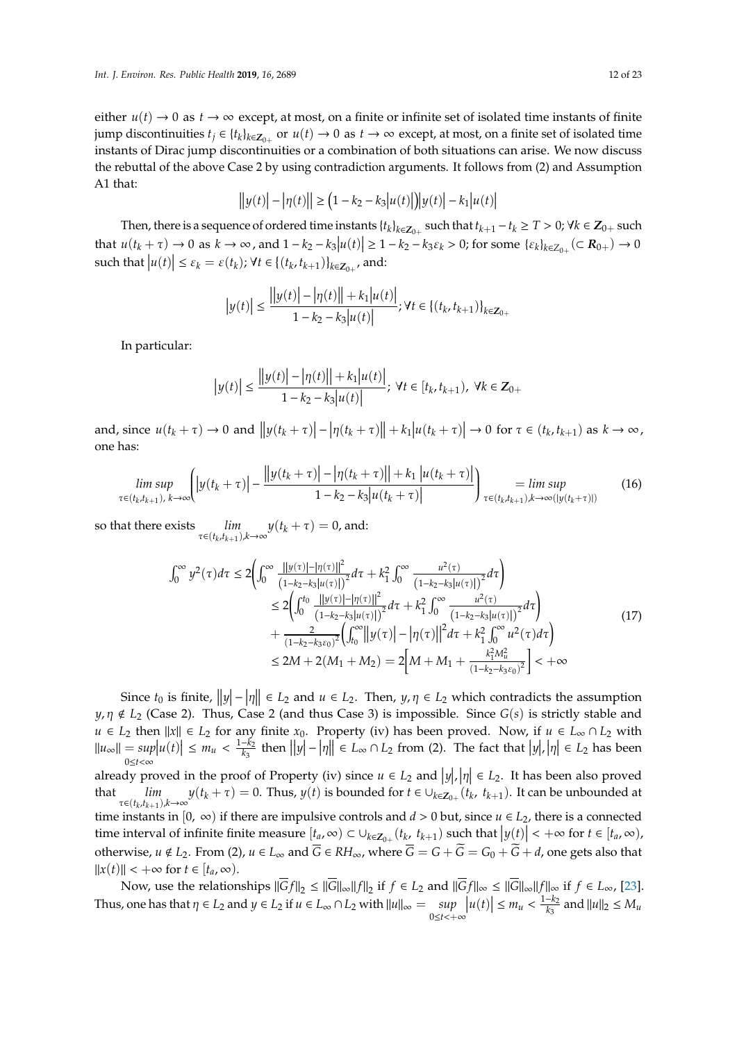either  $u(t) \to 0$  as  $t \to \infty$  except, at most, on a finite or infinite set of isolated time instants of finite *jump* discontinuities  $t_j$  ∈  $\{t_k\}_{k \in \mathbb{Z}_{0+}}$  or  $u(t)$  → 0 as  $t$  → ∞ except, at most, on a finite set of isolated time instants of Dirac jump discontinuities or a combination of both situations can arise. We now discuss the rebuttal of the above Case 2 by using contradiction arguments. It follows from (2) and Assumption A1 that:

$$
||y(t)| - |\eta(t)|| \ge (1 - k_2 - k_3|u(t)||y(t)| - k_1|u(t)|
$$

Then, there is a sequence of ordered time instants  $\{t_k\}_{k\in\mathbb{Z}_{0+}}$  such that  $t_{k+1}-t_k\geq T>0$ ;  $\forall k\in\mathbb{Z}_{0+}$  such that  $u(t_k + \tau) \to 0$  as  $k \to \infty$ , and  $1 - k_2 - k_3 |u(t)| \ge 1 - k_2 - k_3 \varepsilon_k > 0$ ; for some  $\{\varepsilon_k\}_{k \in Z_{0+}} (\subset \mathbb{R}_{0+}) \to 0$ such that  $|u(t)| \leq \varepsilon_k = \varepsilon(t_k)$ ;  $\forall t \in \{(t_k, t_{k+1})\}_{k \in \mathbb{Z}_{0+}}$ , and:

$$
\left| y(t) \right| \le \frac{\left| \left| y(t) \right| - \left| \eta(t) \right| \right| + k_1 | u(t) |}{1 - k_2 - k_3 | u(t) |}; \forall t \in \left\{ (t_k, t_{k+1}) \right\}_{k \in \mathbb{Z}_{0+}}
$$

In particular:

$$
\left| y(t) \right| \le \frac{\left| \left| y(t) \right| - \left| \eta(t) \right| \right| + k_1 | u(t) |}{1 - k_2 - k_3 | u(t) |}; \ \forall t \in [t_k, t_{k+1}), \ \forall k \in \mathbb{Z}_{0+}
$$

and, since  $u(t_k + \tau) \rightarrow 0$  and |  $\left| y(t_k + \tau) \right| - \left| \eta(t_k + \tau) \right|$  $| + k_1 | u(t_k + \tau) | \rightarrow 0 \text{ for } \tau \in (t_k, t_{k+1}) \text{ as } k \rightarrow \infty,$ one has:

$$
\limsup_{\tau \in (t_k, t_{k+1}), k \to \infty} \left( \left| y(t_k + \tau) \right| - \frac{\left| \left| y(t_k + \tau) \right| - \left| \eta(t_k + \tau) \right| \right| + k_1 \left| u(t_k + \tau) \right|}{1 - k_2 - k_3 \left| u(t_k + \tau) \right|} \right) = \limsup_{\tau \in (t_k, t_{k+1}), k \to \infty} (|y(t_k + \tau)|) \tag{16}
$$

so that there exists  $\lim_{\tau \in (t_k, t_{k+1}), k \to \infty} y(t_k + \tau) = 0$ , and:

$$
\int_0^\infty y^2(\tau)d\tau \le 2\left(\int_0^\infty \frac{||y(\tau)|-|\eta(\tau)||^2}{(1-k_2-k_3|u(\tau)|)^2}d\tau + k_1^2 \int_0^\infty \frac{u^2(\tau)}{(1-k_2-k_3|u(\tau)|)^2}d\tau\right) \n\le 2\left(\int_0^{t_0} \frac{||y(\tau)|-|\eta(\tau)||^2}{(1-k_2-k_3|u(\tau)|)^2}d\tau + k_1^2 \int_0^\infty \frac{u^2(\tau)}{(1-k_2-k_3|u(\tau)|)^2}d\tau\right) \n+ \frac{2}{(1-k_2-k_3\varepsilon_0)^2}\left(\int_0^\infty ||y(\tau)|-|\eta(\tau)||^2 d\tau + k_1^2 \int_0^\infty u^2(\tau)d\tau\right) \n\le 2M + 2(M_1 + M_2) = 2\left[M + M_1 + \frac{k_1^2 M_u^2}{(1-k_2-k_3\varepsilon_0)^2}\right] < +\infty
$$
\n(17)

Since  $t_0$  is finite,  $||y| - |\eta|| \in L_2$  and  $u \in L_2$ . Then,  $y, \eta \in L_2$  which contradicts the assumption *y*,  $\eta \notin L_2$  (Case 2). Thus, Case 2 (and thus Case 3) is impossible. Since *G*(*s*) is strictly stable and  $y, \eta \notin L_2$ *u* ∈ *L*<sub>2</sub> then  $||x||$  ∈ *L*<sub>2</sub> for any finite *x*<sub>0</sub>. Property (iv) has been proved. Now, if *u* ∈ *L*<sub>∞</sub> ∩ *L*<sub>2</sub> with  $||u_{\infty}|| = sup\|u(t)\| \le m_{u} < \frac{1-\tilde{k}_{2}}{\tilde{k}_{3}}$ 0≤*t*<∞  $\frac{-k_2}{k_3}$  then  $\vert$  $|y| - |\eta|$  $\left| \int E \in L_{\infty} \cap L_2 \text{ from (2).}$  The fact that  $|y|, |\eta| \in L_2$  has been already proved in the proof of Property (iv) since  $u \in L_2$  and  $|y|, |\eta| \in L_2$ . It has been also proved that  $\lim_{\tau \in (t_k,t_{k+1}),k\to\infty} y(t_k+\tau) = 0$ . Thus,  $y(t)$  is bounded for  $t \in \bigcup_{k \in \mathbb{Z}_{0+}} (t_k, t_{k+1})$ . It can be unbounded at time instants in [0,  $\infty$ ) if there are impulsive controls and *d* > 0 but, since *u*  $\in$  *L*<sub>2</sub>, there is a connected time interval of infinite finite measure  $[t_a, \infty) \subset \bigcup_{k \in \mathbb{Z}_{0+}} (t_{k} \cdot t_{k+1})$  such that  $|y(t)| < +\infty$  for  $t \in [t_a, \infty)$ , otherwise,  $u \notin L_2$ . From (2),  $u \in L_\infty$  and  $\overline{G} \in RH_\infty$ , where  $\overline{G} = G + \overline{G} = G_0 + \overline{G} + d$ , one gets also that  $||x(t)|| < +\infty$  for  $t \in [t_a, \infty)$ .

Now, use the relationships  $\|\overline{G}f\|_2 \le \|\overline{G}\|_{\infty} \|f\|_2$  if  $f \in L_2$  and  $\|\overline{G}f\|_{\infty} \le \|\overline{G}\|_{\infty} \|f\|_{\infty}$  if  $f \in L_{\infty}$ , [\[23\]](#page-22-7). Thus, one has that  $\eta \in L_2$  and  $y \in L_2$  if  $u \in L_\infty \cap L_2$  with  $||u||_\infty = \sup_{0 \le t < +\infty}$  $|u(t)| \le m_u < \frac{1-k_2}{k_3}$  $\frac{-k_2}{k_3}$  and  $||u||_2 \leq M_u$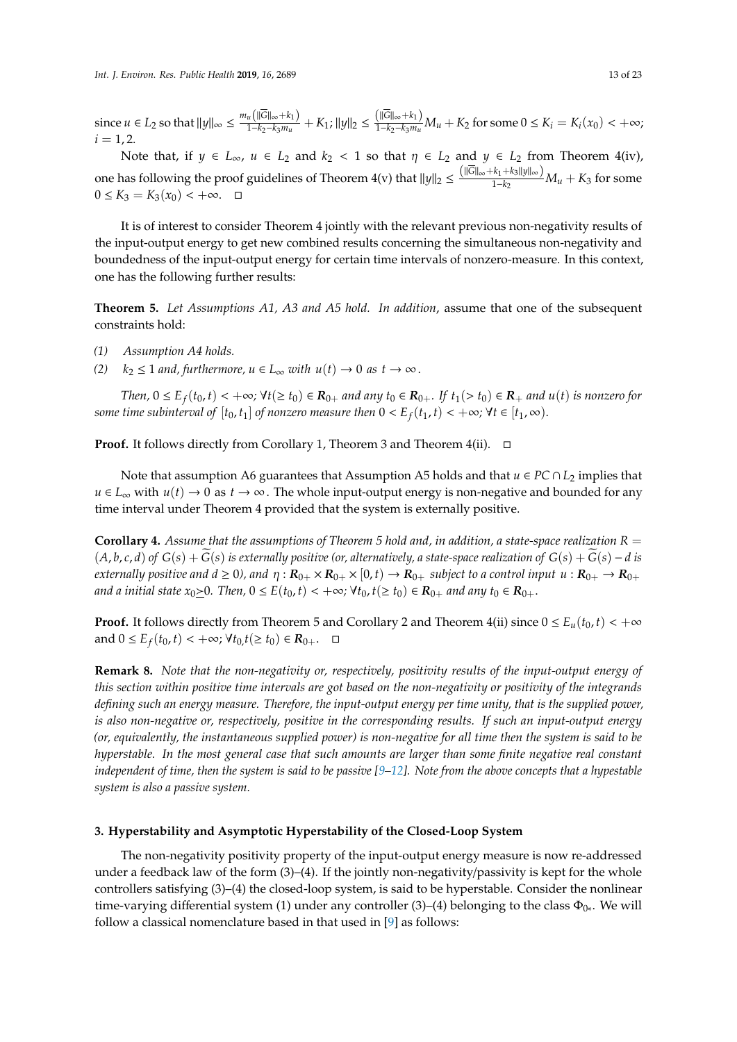since  $u \in L_2$  so that  $||y||_{\infty} \le \frac{m_u (||\overline{G}||_{\infty} + k_1)}{1 - k_2 - k_3 m_u}$  $\frac{u(|\overline{G}||_{\infty}+k_1)}{1-k_2-k_3m_u}+K_1; ||y||_2 \leq \frac{(|\overline{G}||_{\infty}+k_1)}{1-k_2-k_3m_u}$  $\frac{10|G||_{\infty} + K_1}{1-k_2-k_3m_u}M_u + K_2$  for some  $0 \le K_i = K_i(x_0) < +\infty;$  $i = 1, 2.$ 

Note that, if  $y \in L_{\infty}$ ,  $u \in L_2$  and  $k_2 < 1$  so that  $\eta \in L_2$  and  $y \in L_2$  from Theorem 4(iv), one has following the proof guidelines of Theorem  $4(v)$  that  $||y||_2 \leq \frac{(|\vec{G}||_{\infty} + k_1 + k_3||y||_{\infty})}{1 - k_2}$  $\frac{K_1 + K_3 \ln y \ln \infty}{1-k_2} M_u + K_3$  for some  $0 \le K_3 = K_3(x_0)$  < +∞. □

It is of interest to consider Theorem 4 jointly with the relevant previous non-negativity results of the input-output energy to get new combined results concerning the simultaneous non-negativity and boundedness of the input-output energy for certain time intervals of nonzero-measure. In this context, one has the following further results:

**Theorem 5.** *Let Assumptions A1, A3 and A5 hold. In addition*, assume that one of the subsequent constraints hold:

- *(1) Assumption A4 holds.*
- *(2)*  $k_2 \leq 1$  *and, furthermore, u*  $\in L_{\infty}$  *with*  $u(t) \to 0$  *as*  $t \to \infty$ .

Then,  $0 \le E_f(t_0,t) < +\infty$ ;  $\forall t (\ge t_0) \in \mathbb{R}_{0+}$  and any  $t_0 \in \mathbb{R}_{0+}$ . If  $t_1(> t_0) \in \mathbb{R}_+$  and  $u(t)$  is nonzero for *some time subinterval of*  $[t_0, t_1]$  *of nonzero measure then*  $0 < E_f(t_1, t) < +\infty$ ;  $\forall t \in [t_1, \infty)$ .

**Proof.** It follows directly from Corollary 1, Theorem 3 and Theorem 4(ii).

Note that assumption A6 guarantees that Assumption A5 holds and that *u* ∈ *PC* ∩ *L*<sup>2</sup> implies that *u* ∈ *L*<sub>∞</sub> with *u*(*t*) → 0 as *t* → ∞. The whole input-output energy is non-negative and bounded for any time interval under Theorem 4 provided that the system is externally positive.

**Corollary 4.** Assume that the assumptions of Theorem 5 hold and, in addition, a state-space realization  $R =$  $(A, b, c, d)$  of  $G(s) + G(s)$  is externally positive (or, alternatively, a state-space realization of  $G(s) + G(s) - d$  is *externally positive and*  $d \ge 0$ *), and*  $\eta$ :  $R_{0+} \times R_{0+} \times [0, t) \to R_{0+}$  *subject to a control input*  $u$ :  $R_{0+} \to R_{0+}$ *and a initial state x*<sub>0</sub>>0*. Then,* 0 ≤ *E*(*t*<sub>0</sub>*,t*) < +∞*;*  $\forall$ *t*<sub>0</sub>*,t*(≥ *t*<sub>0</sub>) ∈ **R**<sub>0+</sub> *and any t*<sub>0</sub> ∈ **R**<sub>0+</sub>*.* 

**Proof.** It follows directly from Theorem 5 and Corollary 2 and Theorem 4(ii) since  $0 \le E_u(t_0, t) < +\infty$ and  $0 \le E_f(t_0, t) < +\infty$ ;  $\forall t_0, t (\ge t_0) \in R_{0+}$ .  $\Box$ 

**Remark 8.** *Note that the non-negativity or, respectively, positivity results of the input-output energy of this section within positive time intervals are got based on the non-negativity or positivity of the integrands defining such an energy measure. Therefore, the input-output energy per time unity, that is the supplied power, is also non-negative or, respectively, positive in the corresponding results. If such an input-output energy (or, equivalently, the instantaneous supplied power) is non-negative for all time then the system is said to be hyperstable. In the most general case that such amounts are larger than some finite negative real constant independent of time, then the system is said to be passive [\[9–](#page-21-4)[12\]](#page-22-0). Note from the above concepts that a hypestable system is also a passive system.*

#### <span id="page-12-0"></span>**3. Hyperstability and Asymptotic Hyperstability of the Closed-Loop System**

The non-negativity positivity property of the input-output energy measure is now re-addressed under a feedback law of the form (3)–(4). If the jointly non-negativity/passivity is kept for the whole controllers satisfying (3)–(4) the closed-loop system, is said to be hyperstable. Consider the nonlinear time-varying differential system (1) under any controller (3)–(4) belonging to the class  $\Phi_{0*}$ . We will follow a classical nomenclature based in that used in [\[9\]](#page-21-4) as follows: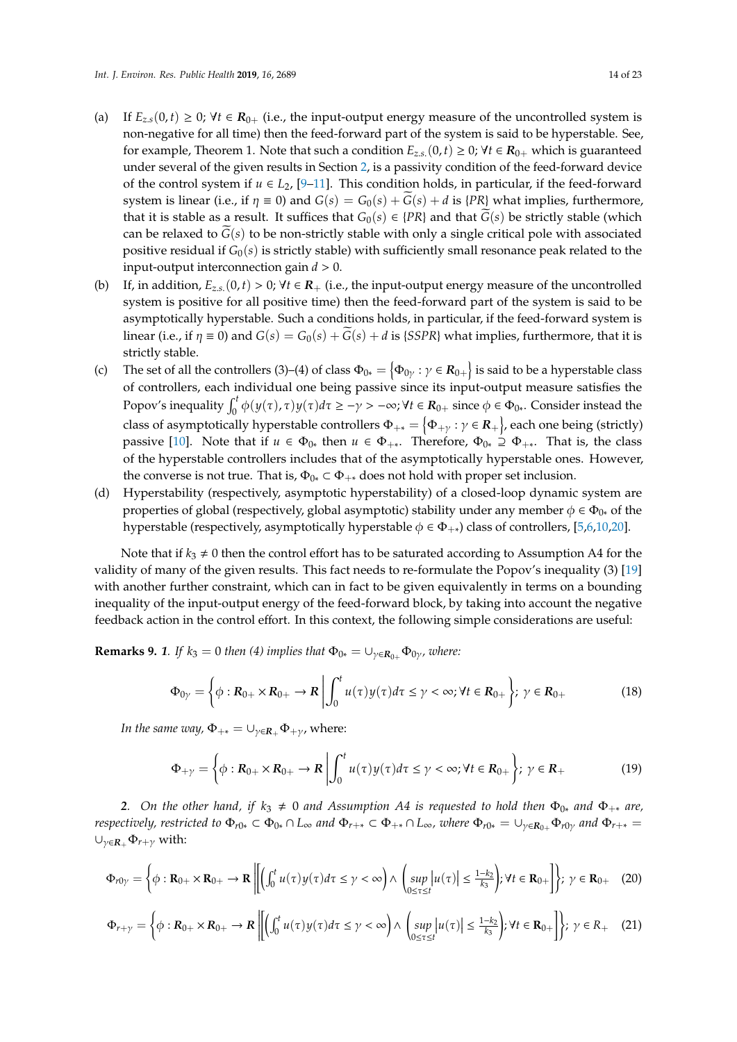- (a) If  $E_{z,s}(0,t) \geq 0$ ;  $\forall t \in \mathbb{R}_{0+}$  (i.e., the input-output energy measure of the uncontrolled system is non-negative for all time) then the feed-forward part of the system is said to be hyperstable. See, for example, Theorem 1. Note that such a condition  $E_{z,s}(0,t) \geq 0$ ;  $\forall t \in \mathbb{R}_{0+}$  which is guaranteed under several of the given results in Section [2,](#page-3-0) is a passivity condition of the feed-forward device of the control system if  $u \in L_2$ , [\[9](#page-21-4)[–11\]](#page-21-5). This condition holds, in particular, if the feed-forward system is linear (i.e., if  $\eta \equiv 0$ ) and  $G(s) = G_0(s) + G(s) + d$  is {*PR*} what implies, furthermore, that it is stable as a result. It suffices that  $G_0(s) \in \{PR\}$  and that  $G(s)$  be strictly stable (which can be relaxed to  $G(s)$  to be non-strictly stable with only a single critical pole with associated positive residual if  $G_0(s)$  is strictly stable) with sufficiently small resonance peak related to the input-output interconnection gain *d* > 0.
- (b) If, in addition,  $E_{z,s}$ .  $(0, t) > 0$ ;  $\forall t \in \mathbb{R}_+$  (i.e., the input-output energy measure of the uncontrolled system is positive for all positive time) then the feed-forward part of the system is said to be asymptotically hyperstable. Such a conditions holds, in particular, if the feed-forward system is linear (i.e., if  $\eta \equiv 0$ ) and  $G(s) = G_0(s) + G(s) + d$  is {*SSPR*} what implies, furthermore, that it is strictly stable.
- (c) The set of all the controllers (3)–(4) of class  $\Phi_{0*}=\big\{\Phi_{0\gamma}:\gamma\in R_{0+}\big\}$  is said to be a hyperstable class of controllers, each individual one being passive since its input-output measure satisfies the Popov's inequality  $\int_0^t \phi(y(\tau), \tau) y(\tau) d\tau \ge -\gamma > -\infty$ ;  $\forall t \in R_{0+}$  since  $\phi \in \Phi_{0*}$ . Consider instead the class of asymptotically hyperstable controllers  $\Phi_{+*}=\big\{\Phi_{+\gamma}:\gamma\in R_+\big\}$ , each one being (strictly) passive [\[10\]](#page-21-6). Note that if  $u \in \Phi_{0*}$  then  $u \in \Phi_{+*}$ . Therefore,  $\Phi_{0*} \supseteq \Phi_{+*}$ . That is, the class of the hyperstable controllers includes that of the asymptotically hyperstable ones. However, the converse is not true. That is,  $\Phi_{0*} \subset \Phi_{+*}$  does not hold with proper set inclusion.
- (d) Hyperstability (respectively, asymptotic hyperstability) of a closed-loop dynamic system are properties of global (respectively, global asymptotic) stability under any member  $\phi \in \Phi_{0*}$  of the hyperstable (respectively, asymptotically hyperstable  $\phi \in \Phi_{+*}$ ) class of controllers, [\[5,](#page-21-3)[6,](#page-21-7)[10,](#page-21-6)[20\]](#page-22-8).

Note that if  $k_3 \neq 0$  then the control effort has to be saturated according to Assumption A4 for the validity of many of the given results. This fact needs to re-formulate the Popov's inequality (3) [\[19\]](#page-22-3) with another further constraint, which can in fact to be given equivalently in terms on a bounding inequality of the input-output energy of the feed-forward block, by taking into account the negative feedback action in the control effort. In this context, the following simple considerations are useful:

**Remarks 9.** *1. If k*<sub>3</sub> = 0 *then* (4) *implies that*  $\Phi_{0*} = \bigcup_{\gamma \in R_{0+}} \Phi_{0\gamma}$ *, where:* 

$$
\Phi_{0\gamma} = \left\{ \phi : \mathbf{R}_{0+} \times \mathbf{R}_{0+} \to \mathbf{R} \middle| \int_0^t u(\tau) y(\tau) d\tau \leq \gamma < \infty; \forall t \in \mathbf{R}_{0+} \right\}; \ \gamma \in \mathbf{R}_{0+} \tag{18}
$$

*In the same way,*  $\Phi_{+*} = \bigcup_{\gamma \in R_+} \Phi_{+\gamma}$ , where:

$$
\Phi_{+\gamma} = \left\{ \phi : \mathbf{R}_{0+} \times \mathbf{R}_{0+} \to \mathbf{R} \middle| \int_0^t u(\tau) y(\tau) d\tau \leq \gamma < \infty; \forall t \in \mathbf{R}_{0+} \right\}; \ \gamma \in \mathbf{R}_+ \tag{19}
$$

*2.* On the other hand, if  $k_3 \neq 0$  and Assumption A4 is requested to hold then  $\Phi_{0*}$  and  $\Phi_{+*}$  are, *respectively, restricted to*  $\Phi_{r0*} \subset \Phi_{0*} \cap L_\infty$  *and*  $\Phi_{r+s} \subset \Phi_{+*} \cap L_\infty$ *, where*  $\Phi_{r0*} = \bigcup_{\nu \in R_{0+}} \Phi_{r0\nu}$  *and*  $\Phi_{r+s} = \Phi_{-*}$  $\cup_{\gamma \in R_+} \Phi_{r+\gamma}$  with:

$$
\Phi_{r0\gamma} = \left\{ \phi : \mathbf{R}_{0+} \times \mathbf{R}_{0+} \to \mathbf{R} \left| \left[ \left( \int_0^t u(\tau) y(\tau) d\tau \le \gamma < \infty \right) \wedge \left( \sup_{0 \le \tau \le t} |u(\tau)| \le \frac{1-k_2}{k_3} \right) \right; \forall t \in \mathbf{R}_{0+} \right] \right\}; \ \gamma \in \mathbf{R}_{0+} \tag{20}
$$

$$
\Phi_{r+\gamma} = \left\{ \phi : \mathbf{R}_{0+} \times \mathbf{R}_{0+} \to \mathbf{R} \left| \left[ \left( \int_0^t u(\tau) y(\tau) d\tau \le \gamma < \infty \right) \wedge \left( \sup_{0 \le \tau \le t} \left| u(\tau) \right| \le \frac{1-k_2}{k_3} \right) : \forall t \in \mathbf{R}_{0+} \right] \right\}; \ \gamma \in R_+ \tag{21}
$$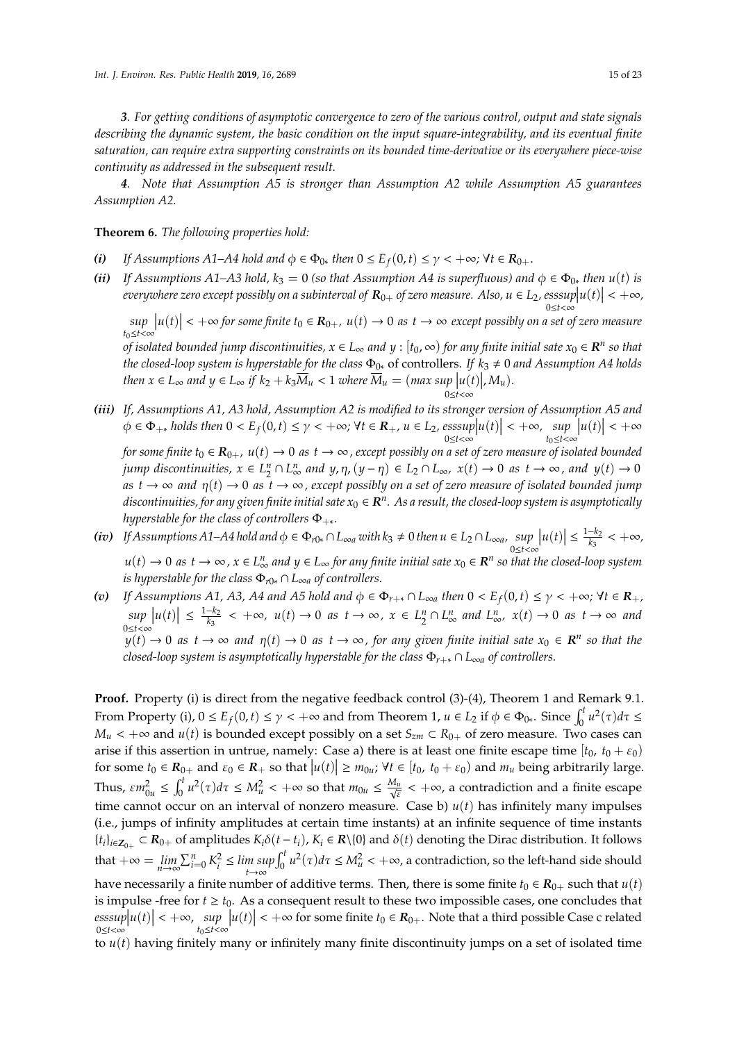*3. For getting conditions of asymptotic convergence to zero of the various control, output and state signals describing the dynamic system, the basic condition on the input square-integrability, and its eventual finite saturation, can require extra supporting constraints on its bounded time-derivative or its everywhere piece-wise continuity as addressed in the subsequent result.*

*4. Note that Assumption A5 is stronger than Assumption A2 while Assumption A5 guarantees Assumption A2.*

**Theorem 6.** *The following properties hold:*

- (*i*) *If Assumptions A1–A4 hold and*  $\phi \in \Phi_{0*}$  *then*  $0 \le E_f(0,t) \le \gamma < +\infty$ *;*  $\forall t \in \mathbb{R}_{0+}$ *.*
- *(ii)* If Assumptions A1–A3 hold,  $k_3 = 0$  (so that Assumption A4 is superfluous) and  $\phi \in \Phi_{0*}$  then  $u(t)$  is  $\int_0^\infty \frac{dx}{dt}$  *everywhere zero except possibly on a subinterval of*  $\mathbf{R}_{0+}$  *of zero measure. Also,*  $u \in L_2$ *,*  $\operatorname{esssup} |u(t)| < +\infty$ *,* 0≤*t*<∞

 $\sup_{t \leq t \leq \infty} |u(t)| < +\infty$  for some finite  $t_0 \in \mathbf{R}_{0+}$ ,  $u(t) \to 0$  as  $t \to \infty$  except possibly on a set of zero measure *t*<sub>0</sub>≤*t*<∞ *of isolated bounded jump discontinuities,*  $x \in L_\infty$  *and*  $y : [t_0, \infty)$  *for any finite initial sate*  $x_0 \in \mathbf{R}^n$  *so that the closed-loop system is hyperstable for the class*  $\Phi_{0*}$  of controllers. *If*  $k_3 \neq 0$  *and Assumption A4 holds*  $\mathcal{L}_{\mathcal{A}}$  *then*  $x \in L_{\infty}$  and  $y \in L_{\infty}$  if  $k_2 + k_3 \overline{M}_u < 1$  where  $\overline{M}_u = (\max \sup |u(t)|, M_u)$ .

0≤*t*<∞

- *(iii) If, Assumptions A1, A3 hold, Assumption A2 is modified to its stronger version of Assumption A5 and*  $\phi \in \Phi_{+*}$  holds then  $0 < E_f(0,t) \leq \gamma < +\infty$ ;  $\forall t \in \mathbb{R}_+$ ,  $u \in L_2$ , esssup $|u(t)| < +\infty$ , sup  $t_0 \leq t < \infty$ 0≤*t*<∞  $|u(t)| < +\infty$ *for some finite*  $t_0 \in \mathbf{R}_{0+}$ ,  $u(t) \to 0$  *as*  $t \to \infty$ , except possibly on a set of zero measure of isolated bounded jump discontinuities,  $x \in L_2^n \cap L_\infty^n$  and  $y, \eta, (y - \eta) \in L_2 \cap L_\infty$ ,  $x(t) \to 0$  as  $t \to \infty$ , and  $y(t) \to 0$  $as\ t \to \infty$  and  $\eta(t) \to 0$  as  $t \to \infty$ , except possibly on a set of zero measure of isolated bounded jump discontinuities, for any given finite initial sate  $x_0\in \mathbf{R}^n$ . As a result, the closed-loop system is asymptotically hyperstable for the class of controllers  $\Phi_{+*}.$
- (*iv*) *If Assumptions A1–A4 hold and*  $\phi \in \Phi_{r0*} \cap L_{\infty a}$  *with*  $k_3 \neq 0$  *then*  $u \in L_2 \cap L_{\infty a}$ ,  $\sup_{0 \leq t < \infty}$  $|u(t)| \leq \frac{1-k_2}{k_3}$  $\frac{-k_2}{k_3}$  <  $+\infty$ ,  $u(t) \to 0$  *as*  $t \to \infty$ ,  $x \in L^n_\infty$  and  $y \in L_\infty$  for any finite initial sate  $x_0 \in \mathbb{R}^n$  so that the closed-loop system *is hyperstable for the class*  $\Phi_{r0*} \cap L_{\infty}$  *of controllers.*
- *(v) If Assumptions A1, A3, A4 and A5 hold and*  $\phi \in \Phi_{r+s} \cap L_{\infty}$  *<i>then*  $0 < E_f(0,t) \leq \gamma < +\infty$ ;  $\forall t \in \mathbb{R}_+$ *, sup* 0≤*t*<∞  $|u(t)| \leq \frac{1-k_2}{k_3}$  $\frac{-k_2}{k_3}$  <  $+\infty$ ,  $u(t) \to 0$  as  $t \to \infty$ ,  $x \in L_2^n \cap L_\infty^n$  and  $L_\infty^n$ ,  $x(t) \to 0$  as  $t \to \infty$  and  $y(t) \to 0$  as  $t \to \infty$  and  $\eta(t) \to 0$  as  $t \to \infty$ , for any given finite initial sate  $x_0 \in \mathbb{R}^n$  so that the *closed-loop system is asymptotically hyperstable for the class*  $\Phi_{r+s} \cap L_{\infty}$  *of controllers.*

Proof. Property (i) is direct from the negative feedback control (3)-(4), Theorem 1 and Remark 9.1. From Property (i),  $0 \le E_f(0, t) \le \gamma < +\infty$  and from Theorem 1,  $u \in L_2$  if  $\phi \in \Phi_{0*}$ . Since  $\int_0^t u^2(\tau) d\tau \le$ *M*<sup>*u*</sup> < +∞ and *u*(*t*) is bounded except possibly on a set *S*<sub>*zm*</sub> ⊂ *R*<sub>0+</sub> of zero measure. Two cases can arise if this assertion in untrue, namely: Case a) there is at least one finite escape time  $[t_0, t_0 + \varepsilon_0]$ for some  $t_0 \in \mathbb{R}_{0+}$  and  $\varepsilon_0 \in \mathbb{R}_+$  so that  $|u(t)| \ge m_{0u}$ ;  $\forall t \in [t_0, t_0 + \varepsilon_0)$  and  $m_u$  being arbitrarily large. Thus,  $\epsilon m_{0u}^2 \leq \int_0^t u^2(\tau) d\tau \leq M_u^2 < +\infty$  so that  $m_{0u} \leq \frac{M_u}{\sqrt{\epsilon}} < +\infty$ , a contradiction and a finite escape time cannot occur on an interval of nonzero measure. Case b)  $u(t)$  has infinitely many impulses (i.e., jumps of infinity amplitudes at certain time instants) at an infinite sequence of time instants {*ti* }*i*∈*Z*0<sup>+</sup> ⊂ *R*0<sup>+</sup> of amplitudes *Ki*δ(*t* − *ti*), *K<sup>i</sup>* ∈ *R*\{0} and δ(*t*) denoting the Dirac distribution. It follows that  $+\infty = \lim_{n \to \infty} \sum_{i=0}^{n} K_i^2 \le \limsup_{t \to \infty}$ *t*→∞  $\int_0^t u^2(\tau)d\tau \leq M_u^2 < +\infty$ , a contradiction, so the left-hand side should have necessarily a finite number of additive terms. Then, there is some finite  $t_0 \in R_{0+}$  such that  $u(t)$ is impulse -free for  $t \ge t_0$ . As a consequent result to these two impossible cases, one concludes that *esssup* 0≤*t*<∞  $|u(t)| < +\infty$ ,  $\sup_{t_0 \le t \le \infty} |u(t)| < +\infty$  for some finite  $t_0 \in \mathbb{R}_{0+}$ . Note that a third possible Case c related *t*<sub>0</sub> ≤*t* <∞ to *u*(*t*) having finitely many or infinitely many finite discontinuity jumps on a set of isolated time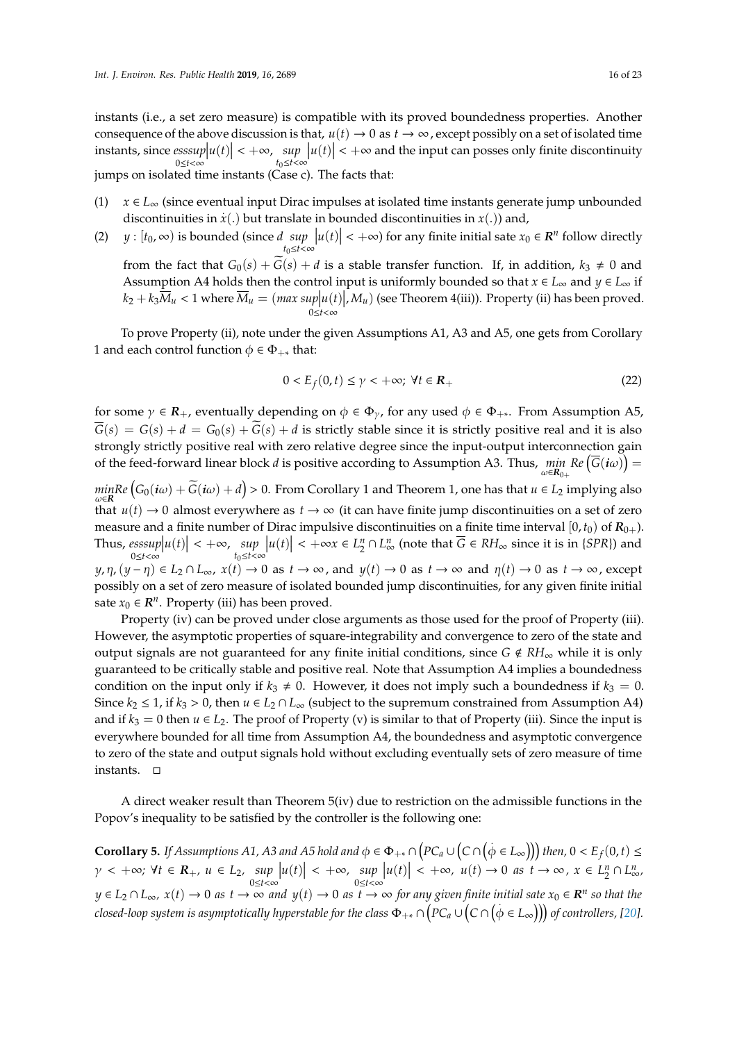instants (i.e., a set zero measure) is compatible with its proved boundedness properties. Another consequence of the above discussion is that,  $u(t) \to 0$  as  $t \to \infty$ , except possibly on a set of isolated time  $\text{intants, since } \mathit{esssup}_{u \leq t \leq \infty} |u(t)| < +\infty$ ,  $\sup_{t \leq t \leq \infty} |u(t)| < +\infty$  and the input can posses only finite discontinuity 0≤*t*<∞ *t*<sub>0</sub>≤*t*<∞ jumps on isolated time instants (Case c). The facts that:

- (1) *x* ∈ *L*<sup>∞</sup> (since eventual input Dirac impulses at isolated time instants generate jump unbounded discontinuities in  $\dot{x}$ . but translate in bounded discontinuities in  $\dot{x}$ .  $\dot{x}$ ) and,
- (2)  $y: [t_0, \infty)$  is bounded (since  $d \sup_{t_0 \le t \le \infty} |u(t)| < +\infty$ ) for any finite initial sate  $x_0 \in \mathbb{R}^n$  follow directly *t*0≤*t*<∞ from the fact that  $G_0(s) + \tilde{G}(s) + d$  is a stable transfer function. If, in addition,  $k_3 \neq 0$  and Assumption A4 holds then the control input is uniformly bounded so that  $x \in L_{\infty}$  and  $y \in L_{\infty}$  if  $k_2 + k_3 \overline{M}_u < 1$  where  $\overline{M}_u = (max \sup |u(t)|, M_u)$  (see Theorem 4(iii)). Property (ii) has been proved.

To prove Property (ii), note under the given Assumptions A1, A3 and A5, one gets from Corollary 1 and each control function  $\phi \in \Phi_{+*}$  that:

0≤*t*<∞

$$
0 < E_f(0, t) \le \gamma < +\infty; \ \forall t \in \mathbb{R}_+ \tag{22}
$$

for some  $\gamma \in \mathbb{R}_+$ , eventually depending on  $\phi \in \Phi_{\gamma}$ , for any used  $\phi \in \Phi_{+\ast}$ . From Assumption A5,  $\overline{G}(s) = G(s) + d = G_0(s) + \overline{G}(s) + d$  is strictly stable since it is strictly positive real and it is also strongly strictly positive real with zero relative degree since the input-output interconnection gain of the feed-forward linear block *d* is positive according to Assumption A3. Thus,  $\min_{\omega \in R_{0+}} Re(\overline{G}(i\omega)) =$ 

 $min_{\omega \in \mathbb{R}} Re\left(G_0(i\omega) + \widetilde{G}(i\omega) + d\right) > 0.$  From Corollary 1 and Theorem 1, one has that  $u \in L_2$  implying also that  $u(t) \to 0$  almost everywhere as  $t \to \infty$  (it can have finite jump discontinuities on a set of zero measure and a finite number of Dirac impulsive discontinuities on a finite time interval  $[0, t_0)$  of  $\mathbf{R}_{0+}$ ). Thus,  $\mathop{\mathrm{esssup}}_{0 \le t \le \infty} |u(t)| < +\infty$ ,  $\sup_{t_0 \le t \le \infty} |u(t)| < +\infty$   $x \in L_2^n \cap L_\infty^n$  (note that  $\overline{G} \in RH_\infty$  since it is in {*SPR*}) and 0≤*t*<∞ *t*0≤*t*<∞  $y, \eta, (y - \eta) \in L_2 \cap L_\infty$ ,  $x(t) \to 0$  as  $t \to \infty$ , and  $y(t) \to 0$  as  $t \to \infty$  and  $\eta(t) \to 0$  as  $t \to \infty$ , except possibly on a set of zero measure of isolated bounded jump discontinuities, for any given finite initial sate  $x_0 \in \mathbb{R}^n$ . Property (iii) has been proved.

Property (iv) can be proved under close arguments as those used for the proof of Property (iii). However, the asymptotic properties of square-integrability and convergence to zero of the state and output signals are not guaranteed for any finite initial conditions, since  $G \notin RH_\infty$  while it is only guaranteed to be critically stable and positive real. Note that Assumption A4 implies a boundedness condition on the input only if  $k_3 \neq 0$ . However, it does not imply such a boundedness if  $k_3 = 0$ . Since  $k_2 \le 1$ , if  $k_3 > 0$ , then  $u \in L_2 \cap L_\infty$  (subject to the supremum constrained from Assumption A4) and if  $k_3 = 0$  then  $u \in L_2$ . The proof of Property (v) is similar to that of Property (iii). Since the input is everywhere bounded for all time from Assumption A4, the boundedness and asymptotic convergence to zero of the state and output signals hold without excluding eventually sets of zero measure of time instants.

A direct weaker result than Theorem 5(iv) due to restriction on the admissible functions in the Popov's inequality to be satisfied by the controller is the following one:

**Corollary 5.** If Assumptions A1, A3 and A5 hold and  $\phi \in \Phi_{+*} \cap (PC_a \cup (C \cap (\dot{\phi} \in L_\infty)))$  then,  $0 < E_f(0, t) \le$  $\gamma < +\infty$ ;  $\forall t \in \mathbb{R}_+$ ,  $u \in L_2$ ,  $\sup_{0 \leq t < \infty}$  $|u(t)| < +\infty$ , *sup*<br>0≤*t*<∞  $|u(t)| < +\infty$ ,  $u(t) \to 0$  as  $t \to \infty$ ,  $x \in L_2^n \cap L_\infty^n$ ,  $y\in L_2\cap L_\infty$ ,  $x(t)\to 0$  as  $t\to\infty$  and  $y(t)\to 0$  as  $t\to\infty$  for any given finite initial sate  $x_0\in\mathbb{R}^n$  so that the  $\sum_{i=1}^{n}$   $\sum_{i=1}^{n}$   $\sum_{i=1}^{n}$  *closed-loop system is asymptotically hyperstable for the class*  $\Phi_{++} \cap (PC_a \cup (C \cap (\phi \in L_\infty)))$  *of controllers,* [\[20\]](#page-22-8)*.*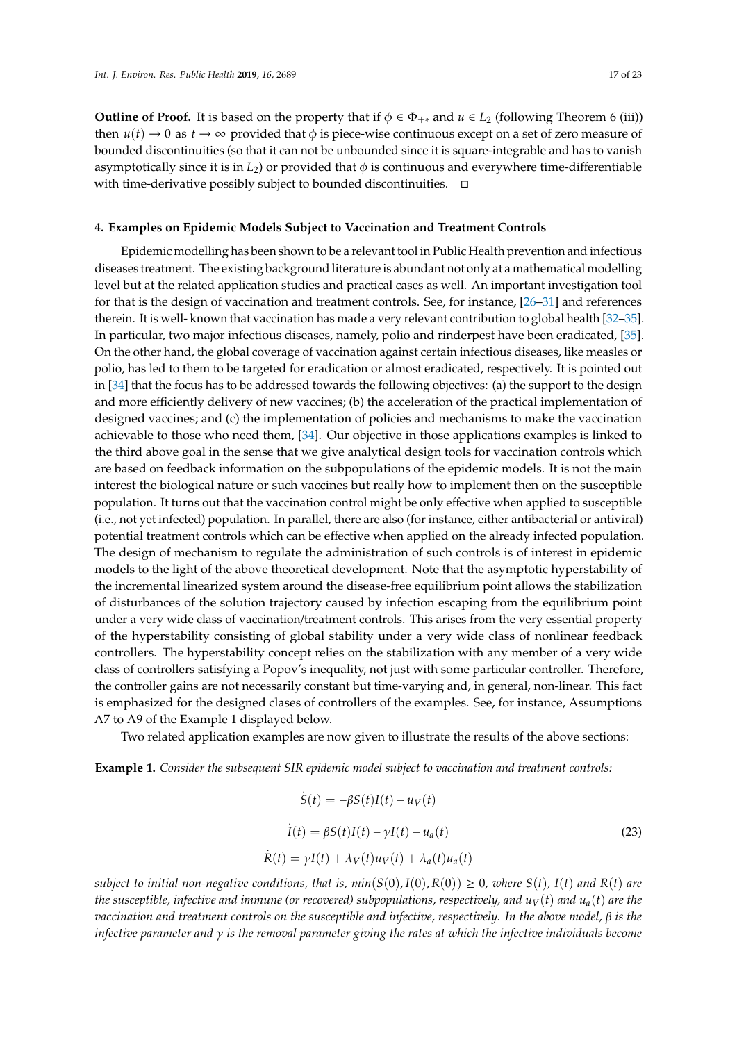**Outline of Proof.** It is based on the property that if  $\phi \in \Phi_{++}$  and  $u \in L_2$  (following Theorem 6 (iii)) then  $u(t) \to 0$  as  $t \to \infty$  provided that  $\phi$  is piece-wise continuous except on a set of zero measure of bounded discontinuities (so that it can not be unbounded since it is square-integrable and has to vanish asymptotically since it is in  $L_2$ ) or provided that  $\phi$  is continuous and everywhere time-differentiable with time-derivative possibly subject to bounded discontinuities.  $\Box$ 

#### <span id="page-16-0"></span>**4. Examples on Epidemic Models Subject to Vaccination and Treatment Controls**

Epidemic modelling has been shown to be a relevant tool in Public Health prevention and infectious diseases treatment. The existing background literature is abundant not only at a mathematical modelling level but at the related application studies and practical cases as well. An important investigation tool for that is the design of vaccination and treatment controls. See, for instance, [\[26](#page-22-9)[–31\]](#page-22-10) and references therein. It is well- known that vaccination has made a very relevant contribution to global health [\[32–](#page-22-11)[35\]](#page-22-12). In particular, two major infectious diseases, namely, polio and rinderpest have been eradicated, [\[35\]](#page-22-12). On the other hand, the global coverage of vaccination against certain infectious diseases, like measles or polio, has led to them to be targeted for eradication or almost eradicated, respectively. It is pointed out in [\[34\]](#page-22-13) that the focus has to be addressed towards the following objectives: (a) the support to the design and more efficiently delivery of new vaccines; (b) the acceleration of the practical implementation of designed vaccines; and (c) the implementation of policies and mechanisms to make the vaccination achievable to those who need them, [\[34\]](#page-22-13). Our objective in those applications examples is linked to the third above goal in the sense that we give analytical design tools for vaccination controls which are based on feedback information on the subpopulations of the epidemic models. It is not the main interest the biological nature or such vaccines but really how to implement then on the susceptible population. It turns out that the vaccination control might be only effective when applied to susceptible (i.e., not yet infected) population. In parallel, there are also (for instance, either antibacterial or antiviral) potential treatment controls which can be effective when applied on the already infected population. The design of mechanism to regulate the administration of such controls is of interest in epidemic models to the light of the above theoretical development. Note that the asymptotic hyperstability of the incremental linearized system around the disease-free equilibrium point allows the stabilization of disturbances of the solution trajectory caused by infection escaping from the equilibrium point under a very wide class of vaccination/treatment controls. This arises from the very essential property of the hyperstability consisting of global stability under a very wide class of nonlinear feedback controllers. The hyperstability concept relies on the stabilization with any member of a very wide class of controllers satisfying a Popov's inequality, not just with some particular controller. Therefore, the controller gains are not necessarily constant but time-varying and, in general, non-linear. This fact is emphasized for the designed clases of controllers of the examples. See, for instance, Assumptions A7 to A9 of the Example 1 displayed below.

Two related application examples are now given to illustrate the results of the above sections:

**Example 1.** *Consider the subsequent SIR epidemic model subject to vaccination and treatment controls:*

$$
\dot{S}(t) = -\beta S(t)I(t) - u_V(t)
$$
  
\n
$$
\dot{I}(t) = \beta S(t)I(t) - \gamma I(t) - u_a(t)
$$
  
\n
$$
\dot{R}(t) = \gamma I(t) + \lambda_V(t)u_V(t) + \lambda_a(t)u_a(t)
$$
\n(23)

*subject to initial non-negative conditions, that is,*  $min(S(0), I(0), R(0)) \ge 0$ *, where*  $S(t)$ ,  $I(t)$  and  $R(t)$  are *the susceptible, infective and immune (or recovered) subpopulations, respectively, and*  $u_V(t)$  *and*  $u_a(t)$  *are the vaccination and treatment controls on the susceptible and infective, respectively. In the above model,* β *is the infective parameter and* γ *is the removal parameter giving the rates at which the infective individuals become*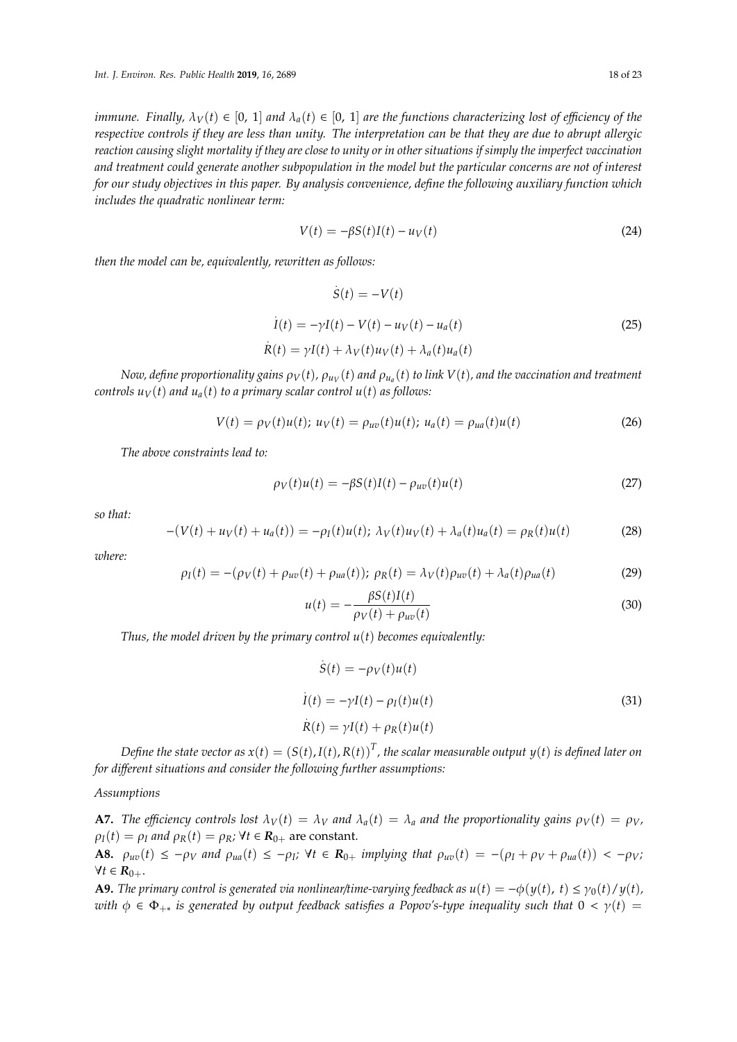*immune. Finally,*  $\lambda_V(t) \in [0, 1]$  *and*  $\lambda_a(t) \in [0, 1]$  *are the functions characterizing lost of efficiency of the respective controls if they are less than unity. The interpretation can be that they are due to abrupt allergic reaction causing slight mortality if they are close to unity or in other situations if simply the imperfect vaccination and treatment could generate another subpopulation in the model but the particular concerns are not of interest for our study objectives in this paper. By analysis convenience, define the following auxiliary function which includes the quadratic nonlinear term:*

$$
V(t) = -\beta S(t)I(t) - u_V(t)
$$
\n(24)

*then the model can be, equivalently, rewritten as follows:*

$$
\dot{S}(t) = -V(t)
$$
  
\n
$$
\dot{I}(t) = -\gamma I(t) - V(t) - u_V(t) - u_a(t)
$$
  
\n
$$
\dot{R}(t) = \gamma I(t) + \lambda_V(t)u_V(t) + \lambda_a(t)u_a(t)
$$
\n(25)

*Now, define proportionality gains*  $\rho_V(t)$ *,*  $\rho_{u_V}(t)$  *and*  $\rho_{u_a}(t)$  *to link*  $V(t)$ *, and the vaccination and treatment controls*  $u_V(t)$  *and*  $u_a(t)$  *to a primary scalar control*  $u(t)$  *as follows:* 

$$
V(t) = \rho_V(t)u(t); \ u_V(t) = \rho_{uv}(t)u(t); \ u_a(t) = \rho_{ua}(t)u(t)
$$
\n(26)

*The above constraints lead to:*

$$
\rho_V(t)u(t) = -\beta S(t)I(t) - \rho_{uv}(t)u(t)
$$
\n(27)

*so that:*

$$
-(V(t) + u_V(t) + u_a(t)) = -\rho_I(t)u(t); \ \lambda_V(t)u_V(t) + \lambda_a(t)u_a(t) = \rho_R(t)u(t)
$$
 (28)

*where:*

$$
\rho_I(t) = -(\rho_V(t) + \rho_{uv}(t) + \rho_{ua}(t)); \ \rho_R(t) = \lambda_V(t)\rho_{uv}(t) + \lambda_a(t)\rho_{ua}(t) \tag{29}
$$

$$
u(t) = -\frac{\beta S(t)I(t)}{\rho_V(t) + \rho_{uv}(t)}
$$
\n(30)

*Thus, the model driven by the primary control u*(*t*) *becomes equivalently:*

$$
\dot{S}(t) = -\rho_V(t)u(t)
$$
  
\n
$$
\dot{I}(t) = -\gamma I(t) - \rho_I(t)u(t)
$$
  
\n
$$
\dot{R}(t) = \gamma I(t) + \rho_R(t)u(t)
$$
\n(31)

*Define the state vector as*  $x(t) = (S(t), I(t), R(t))^T$ *, the scalar measurable output*  $y(t)$  *is defined later on for di*ff*erent situations and consider the following further assumptions:*

*Assumptions*

**A7.** The efficiency controls lost  $\lambda_V(t) = \lambda_V$  and  $\lambda_a(t) = \lambda_a$  and the proportionality gains  $\rho_V(t) = \rho_V$ ,  $\rho_I(t) = \rho_I$  *and*  $\rho_R(t) = \rho_R$ ;  $\forall t \in \mathbf{R}_{0+}$  are constant.

**A8.**  $\rho_{uv}(t) \leq -\rho_V$  and  $\rho_{ua}(t) \leq -\rho_I$ ;  $\forall t \in \mathbf{R}_{0+}$  implying that  $\rho_{uv}(t) = -(\rho_I + \rho_V + \rho_{ua}(t)) < -\rho_V$ ;  $\forall t \in \mathbf{R}_{0+}$ .

**A9.** The primary control is generated via nonlinear/time-varying feedback as  $u(t) = -\phi(y(t), t) \leq \gamma_0(t)/y(t)$ , with  $\phi \in \Phi_{+*}$  is generated by output feedback satisfies a Popov's-type inequality such that  $0 < \gamma(t)$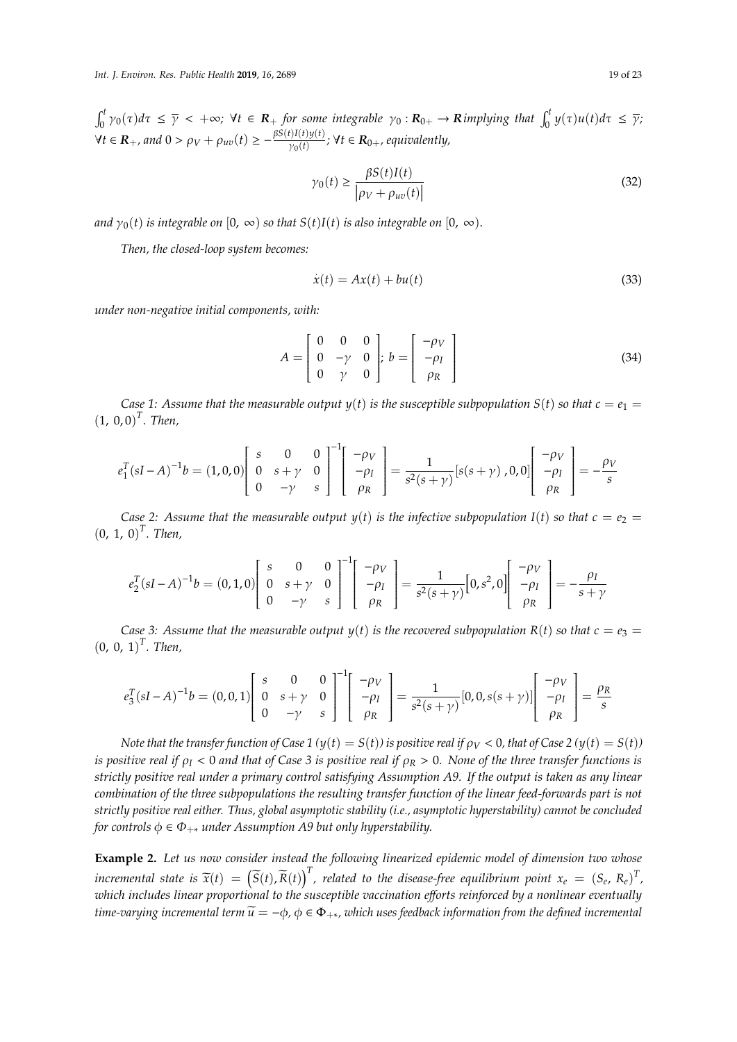$\int_0^t \gamma_0(\tau) d\tau \leq \overline{\gamma} < +\infty$ ;  $\forall t \in \mathbb{R}_+$  *for some integrable*  $\gamma_0: \mathbb{R}_{0+} \to \mathbb{R}$ *implying that*  $\int_0^t y(\tau)u(t) d\tau \leq \overline{\gamma}$ ;  $\forall t \in \mathbf{R}_+$ , and  $0 > \rho_V + \rho_{uv}(t) \ge -\frac{\beta S(t) I(t) y(t)}{\gamma_0(t)}$ ;  $\forall t \in \mathbf{R}_{0+}$ , equivalently,

$$
\gamma_0(t) \ge \frac{\beta S(t)I(t)}{|\rho_V + \rho_{uv}(t)|} \tag{32}
$$

*and*  $\gamma_0(t)$  *is integrable on*  $[0, \infty)$  *so that*  $S(t)I(t)$  *is also integrable on*  $[0, \infty)$ *.* 

*Then, the closed-loop system becomes:*

$$
\dot{x}(t) = Ax(t) + bu(t)
$$
\n(33)

*under non-negative initial components, with:*

$$
A = \begin{bmatrix} 0 & 0 & 0 \\ 0 & -\gamma & 0 \\ 0 & \gamma & 0 \end{bmatrix}; b = \begin{bmatrix} -\rho_V \\ -\rho_I \\ \rho_R \end{bmatrix}
$$
 (34)

*Case 1: Assume that the measurable output*  $y(t)$  *is the susceptible subpopulation*  $S(t)$  *so that*  $c = e_1$  $(1, 0, 0)^T$ *. Then,* 

$$
e_1^T(sI - A)^{-1}b = (1, 0, 0) \begin{bmatrix} s & 0 & 0 \ 0 & s + \gamma & 0 \ 0 & -\gamma & s \end{bmatrix}^{-1} \begin{bmatrix} -\rho_V \\ -\rho_I \\ \rho_R \end{bmatrix} = \frac{1}{s^2(s + \gamma)} [s(s + \gamma), 0, 0] \begin{bmatrix} -\rho_V \\ -\rho_I \\ \rho_R \end{bmatrix} = -\frac{\rho_V}{s}
$$

*Case 2: Assume that the measurable output*  $y(t)$  *is the infective subpopulation*  $I(t)$  *so that*  $c = e_2$  $(0, 1, 0)^T$ *. Then,* 

$$
e_2^T(sI-A)^{-1}b = (0,1,0) \begin{bmatrix} s & 0 & 0 \ 0 & s+\gamma & 0 \ 0 & -\gamma & s \end{bmatrix}^{-1} \begin{bmatrix} -\rho_V \\ -\rho_I \\ \rho_R \end{bmatrix} = \frac{1}{s^2(s+\gamma)} [0, s^2, 0] \begin{bmatrix} -\rho_V \\ -\rho_I \\ \rho_R \end{bmatrix} = -\frac{\rho_I}{s+\gamma}
$$

*Case 3: Assume that the measurable output*  $y(t)$  *is the recovered subpopulation*  $R(t)$  *so that*  $c = e_3 =$  $(0, 0, 1)^T$ *. Then,* 

$$
e_3^T(sI-A)^{-1}b = (0,0,1) \begin{bmatrix} s & 0 & 0 \ 0 & s+\gamma & 0 \ 0 & -\gamma & s \end{bmatrix}^{-1} \begin{bmatrix} -\rho_V \\ -\rho_I \\ \rho_R \end{bmatrix} = \frac{1}{s^2(s+\gamma)} [0,0,s(s+\gamma)] \begin{bmatrix} -\rho_V \\ -\rho_I \\ \rho_R \end{bmatrix} = \frac{\rho_R}{s}
$$

*Note that the transfer function of Case 1 (* $y(t) = S(t)$ *) is positive real if*  $\rho_V < 0$ , *that of Case 2 (* $y(t) = S(t)$ ) *is positive real if* ρ*<sup>I</sup>* < 0 *and that of Case 3 is positive real if* ρ*<sup>R</sup>* > 0*. None of the three transfer functions is strictly positive real under a primary control satisfying Assumption A9. If the output is taken as any linear combination of the three subpopulations the resulting transfer function of the linear feed-forwards part is not strictly positive real either. Thus, global asymptotic stability (i.e., asymptotic hyperstability) cannot be concluded for controls*  $\phi \in \Phi_{+*}$  *under Assumption A9 but only hyperstability.* 

**Example 2.** *Let us now consider instead the following linearized epidemic model of dimension two whose* incremental state is  $\widetilde{x}(t) = (\widetilde{S}(t), \widetilde{R}(t))^T$ , related to the disease-free equilibrium point  $x_e = (S_e, R_e)^T$ , *which includes linear proportional to the susceptible vaccination e*ff*orts reinforced by a nonlinear eventually*  $time\text{-}varying\ incremental\ term\ \widetilde{u}=-\phi, \ \phi\in \Phi_{+*}$ , which uses feedback information from the defined incremental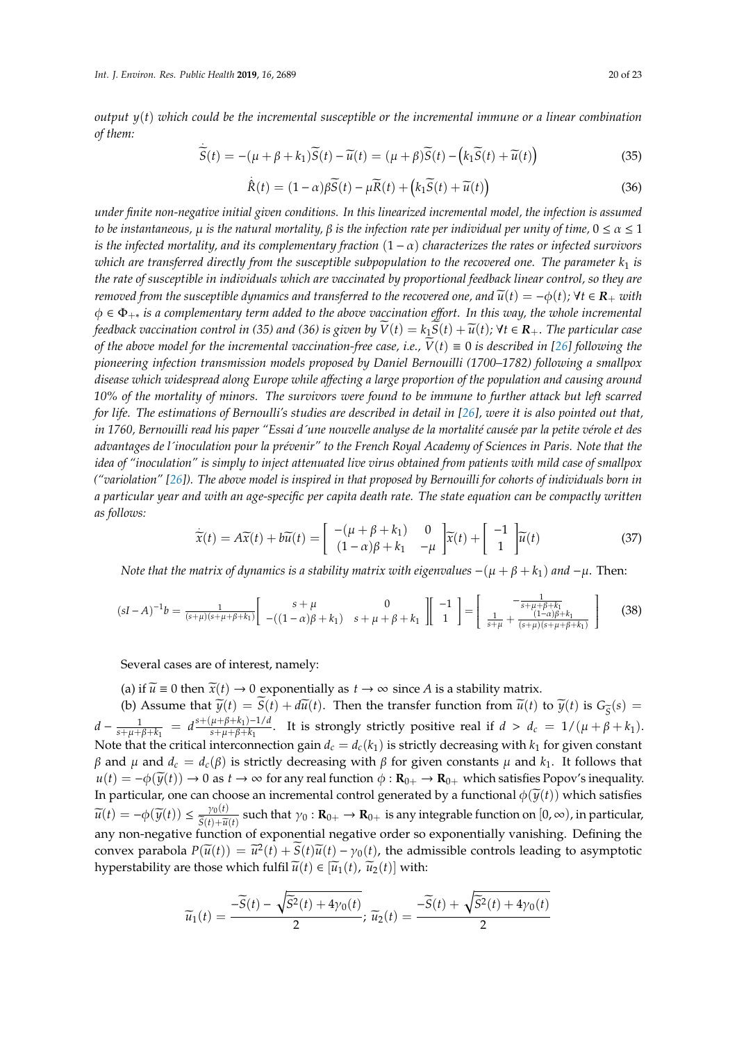*output y*(*t*) *which could be the incremental susceptible or the incremental immune or a linear combination of them:*

$$
\dot{\widetilde{S}}(t) = -(\mu + \beta + k_1)\widetilde{S}(t) - \widetilde{u}(t) = (\mu + \beta)\widetilde{S}(t) - (k_1\widetilde{S}(t) + \widetilde{u}(t))
$$
\n(35)

$$
\dot{\tilde{R}}(t) = (1 - \alpha)\beta \tilde{S}(t) - \mu \tilde{R}(t) + (k_1 \tilde{S}(t) + \tilde{u}(t))
$$
\n(36)

*under finite non-negative initial given conditions. In this linearized incremental model, the infection is assumed to be instantaneous,*  $\mu$  *is the natural mortality,*  $\beta$  *is the infection rate per individual per unity of time,*  $0 \le \alpha \le 1$ *is the infected mortality, and its complementary fraction* (1 − α) *characterizes the rates or infected survivors which are transferred directly from the susceptible subpopulation to the recovered one. The parameter*  $k_1$  *is the rate of susceptible in individuals which are vaccinated by proportional feedback linear control, so they are removed from the susceptible dynamics and transferred to the recovered one, and*  $\tilde{u}(t) = -\phi(t)$ ;  $\forall t \in \mathbb{R}_+$  *with* φ ∈ Φ+<sup>∗</sup> *is a complementary term added to the above vaccination e*ff*ort. In this way, the whole incremental feedback vaccination control in (35) and (36) is given by*  $\widetilde{V}(t) = k_1 \widetilde{S}(t) + \widetilde{u}(t)$ ;  $\forall t \in \mathbf{R}_+$ . The particular case *of the above model for the incremental vaccination-free case, i.e.,*  $V(t) \equiv 0$  *is described in* [\[26\]](#page-22-9) following the *pioneering infection transmission models proposed by Daniel Bernouilli (1700–1782) following a smallpox disease which widespread along Europe while a*ff*ecting a large proportion of the population and causing around 10% of the mortality of minors. The survivors were found to be immune to further attack but left scarred for life. The estimations of Bernoulli's studies are described in detail in [\[26\]](#page-22-9), were it is also pointed out that, in 1760, Bernouilli read his paper "Essai d´une nouvelle analyse de la mortalité causée par la petite vérole et des advantages de l´inoculation pour la prévenir" to the French Royal Academy of Sciences in Paris. Note that the idea of "inoculation" is simply to inject attenuated live virus obtained from patients with mild case of smallpox ("variolation" [\[26\]](#page-22-9)). The above model is inspired in that proposed by Bernouilli for cohorts of individuals born in a particular year and with an age-specific per capita death rate. The state equation can be compactly written as follows:*

$$
\dot{\overline{x}}(t) = A\overline{x}(t) + b\overline{u}(t) = \begin{bmatrix} -(\mu + \beta + k_1) & 0 \\ (1 - \alpha)\beta + k_1 & -\mu \end{bmatrix} \overline{x}(t) + \begin{bmatrix} -1 \\ 1 \end{bmatrix} \overline{u}(t)
$$
(37)

*Note that the matrix of dynamics is a stability matrix with eigenvalues*  $-(\mu + \beta + k_1)$  *and*  $-\mu$ . Then:

$$
(sI - A)^{-1}b = \frac{1}{(s + \mu)(s + \mu + \beta + k_1)} \begin{bmatrix} s + \mu & 0\\ -( (1 - \alpha)\beta + k_1) & s + \mu + \beta + k_1 \end{bmatrix} \begin{bmatrix} -1\\ 1 \end{bmatrix} = \begin{bmatrix} -\frac{1}{s + \mu + \beta + k_1} \\ \frac{1}{s + \mu} + \frac{(1 - \alpha)\beta + k_1}{(s + \mu)(s + \mu + \beta + k_1)} \end{bmatrix}
$$
(38)

Several cases are of interest, namely:

(a) if  $\widetilde{u} \equiv 0$  then  $\widetilde{x}(t) \rightarrow 0$  exponentially as  $t \rightarrow \infty$  since A is a stability matrix.

(b) Assume that  $\widetilde{y}(t) = S(t) + d\widetilde{u}(t)$ . Then the transfer function from  $\widetilde{u}(t)$  to  $\widetilde{y}(t)$  is  $G_{\widetilde{S}}(s)$  =  $d - \frac{1}{s + \mu + \beta + k_1} = d \frac{s + (\mu + \beta + k_1) - 1/d}{s + \mu + \beta + k_1}$  $\frac{\mu+p+\kappa_1-1/\mu}{s+\mu+\beta+k_1}$ . It is strongly strictly positive real if  $d > d_c = 1/(\mu+\beta+k_1)$ . Note that the critical interconnection gain  $d_c = d_c(k_1)$  is strictly decreasing with  $k_1$  for given constant β and  $\mu$  and  $d_c = d_c(\beta)$  is strictly decreasing with β for given constants  $\mu$  and  $k_1$ . It follows that  $u(t) = -\phi(\widetilde{y}(t)) \to 0$  as  $t \to \infty$  for any real function  $\phi : \mathbf{R}_{0+} \to \mathbf{R}_{0+}$  which satisfies Popov's inequality. In particular, one can choose an incremental control generated by a functional  $\phi(\tilde{y}(t))$  which satisfies  $\widetilde{u}(t) = -\phi(\widetilde{y}(t)) \le \frac{\gamma_0(t)}{\widetilde{S}(t) + \widetilde{u}}$  $S(t)+\widetilde{u}(t)$ such that  $\gamma_0 : \mathbf{R}_{0+} \to \mathbf{R}_{0+}$  is any integrable function on  $[0, \infty)$ , in particular, any non-negative function of exponential negative order so exponentially vanishing. Defining the convex parabola  $P(\tilde{u}(t)) = \tilde{u}^2(t) + \tilde{S}(t)\tilde{u}(t) - \gamma_0(t)$ , the admissible controls leading to asymptotic hyperstability are those which fulfil  $\widetilde{u}(t) \in [\widetilde{u}_1(t), \widetilde{u}_2(t)]$  with:

$$
\widetilde{u}_1(t) = \frac{-\widetilde{S}(t) - \sqrt{\widetilde{S}^2(t) + 4\gamma_0(t)}}{2}; \ \widetilde{u}_2(t) = \frac{-\widetilde{S}(t) + \sqrt{\widetilde{S}^2(t) + 4\gamma_0(t)}}{2}
$$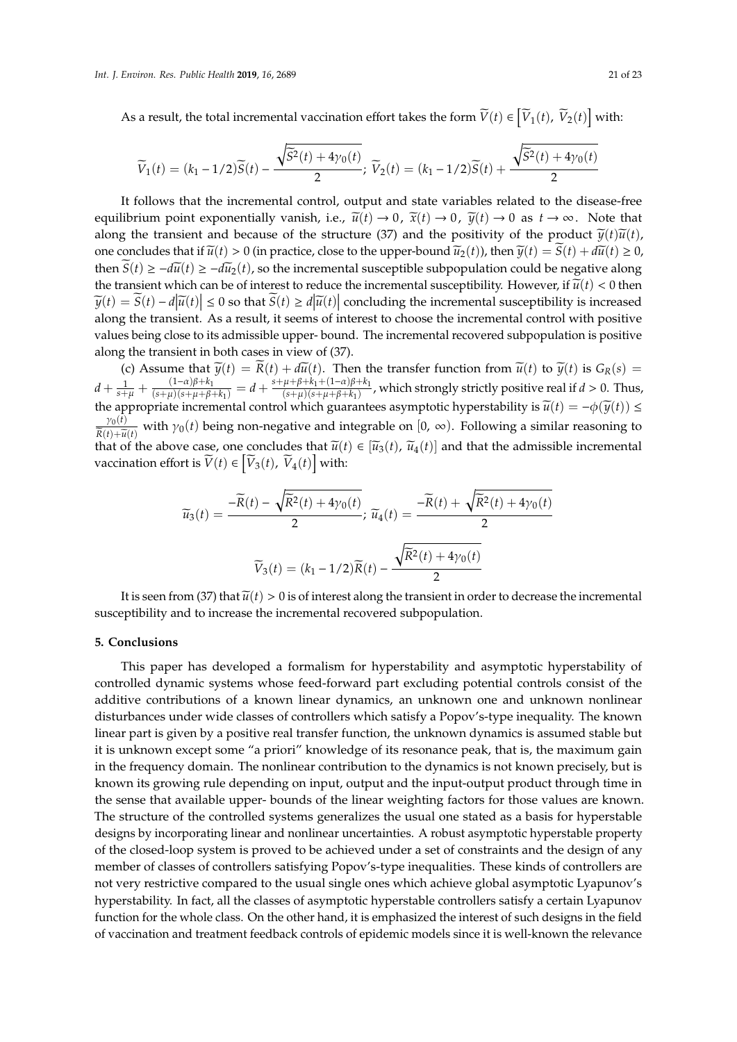As a result, the total incremental vaccination effort takes the form  $\widetilde{V}(t) \in \left[ \widetilde{V}_1(t), \ \widetilde{V}_2(t) \right]$  with:

$$
\widetilde{V}_1(t)=(k_1-1/2)\widetilde{S}(t)-\frac{\sqrt{\widetilde{S}^2(t)+4\gamma_0(t)}}{2};\ \widetilde{V}_2(t)=(k_1-1/2)\widetilde{S}(t)+\frac{\sqrt{\widetilde{S}^2(t)+4\gamma_0(t)}}{2}
$$

It follows that the incremental control, output and state variables related to the disease-free equilibrium point exponentially vanish, i.e.,  $\tilde{u}(t) \to 0$ ,  $\tilde{x}(t) \to 0$ ,  $\tilde{y}(t) \to 0$  as  $t \to \infty$ . Note that along the transient and because of the structure (37) and the positivity of the product  $\widetilde{y}(t)\widetilde{u}(t)$ , one concludes that if  $\tilde{u}(t) > 0$  (in practice, close to the upper-bound  $\tilde{u}_2(t)$ ), then  $\tilde{v}(t) = S(t) + d\tilde{u}(t) \ge 0$ , then  $S(t) \ge -d\widetilde{u}(t) \ge -d\widetilde{u}_2(t)$ , so the incremental susceptible subpopulation could be negative along the transient which can be of interest to reduce the incremental susceptibility. However, if  $\widetilde{u}(t) < 0$  then  $\widetilde{y}(t) = \widetilde{S}(t) - d|\widetilde{u}(t)| \le 0$  so that  $\widetilde{S}(t) \ge d|\widetilde{u}(t)|$  concluding the incremental susceptibility is increased along the transient. As a result, it seems of interest to choose the incremental control with positive values being close to its admissible upper- bound. The incremental recovered subpopulation is positive along the transient in both cases in view of (37).

(c) Assume that  $\widetilde{y}(t) = R(t) + d\widetilde{u}(t)$ . Then the transfer function from  $\widetilde{u}(t)$  to  $\widetilde{y}(t)$  is  $G_R(s) =$  $d + \frac{1}{s + \mu} + \frac{(1 - \alpha)\beta + k_1}{(s + \mu)(s + \mu + \beta)}$  $\frac{(1-\alpha)\beta+k_1}{(s+\mu)(s+\mu+\beta+k_1)} = d + \frac{s+\mu+\beta+k_1+(1-\alpha)\beta+k_1}{(s+\mu)(s+\mu+\beta+k_1)}$  $\frac{\mu+\rho+\kappa_1+\kappa_2}{(s+\mu)(s+\mu+\beta+k_1)}$ , which strongly strictly positive real if  $d > 0$ . Thus, the appropriate incremental control which guarantees asymptotic hyperstability is  $\widetilde{u}(t) = -\phi(\widetilde{y}(t)) \leq$  $\gamma_0(t)$  $R(t)+\widetilde{u}(t)$ with  $\gamma_0(t)$  being non-negative and integrable on [0,  $\infty$ ). Following a similar reasoning to that of the above case, one concludes that  $\tilde{u}(t) \in [\tilde{u}_3(t), \tilde{u}_4(t)]$  and that the admissible incremental vaccination effort is  $\widetilde{V}(t) \in \left[ \widetilde{V}_3(t), \ \widetilde{V}_4(t) \right]$  with:

$$
\widetilde{u}_3(t) = \frac{-\widetilde{R}(t) - \sqrt{\widetilde{R}^2(t) + 4\gamma_0(t)}}{2}; \ \widetilde{u}_4(t) = \frac{-\widetilde{R}(t) + \sqrt{\widetilde{R}^2(t) + 4\gamma_0(t)}}{2}
$$

$$
\widetilde{V}_3(t) = (k_1 - 1/2)\widetilde{R}(t) - \frac{\sqrt{\widetilde{R}^2(t) + 4\gamma_0(t)}}{2}
$$

It is seen from (37) that  $\tilde{u}(t) > 0$  is of interest along the transient in order to decrease the incremental susceptibility and to increase the incremental recovered subpopulation.

#### **5. Conclusions**

This paper has developed a formalism for hyperstability and asymptotic hyperstability of controlled dynamic systems whose feed-forward part excluding potential controls consist of the additive contributions of a known linear dynamics, an unknown one and unknown nonlinear disturbances under wide classes of controllers which satisfy a Popov's-type inequality. The known linear part is given by a positive real transfer function, the unknown dynamics is assumed stable but it is unknown except some "a priori" knowledge of its resonance peak, that is, the maximum gain in the frequency domain. The nonlinear contribution to the dynamics is not known precisely, but is known its growing rule depending on input, output and the input-output product through time in the sense that available upper- bounds of the linear weighting factors for those values are known. The structure of the controlled systems generalizes the usual one stated as a basis for hyperstable designs by incorporating linear and nonlinear uncertainties. A robust asymptotic hyperstable property of the closed-loop system is proved to be achieved under a set of constraints and the design of any member of classes of controllers satisfying Popov's-type inequalities. These kinds of controllers are not very restrictive compared to the usual single ones which achieve global asymptotic Lyapunov's hyperstability. In fact, all the classes of asymptotic hyperstable controllers satisfy a certain Lyapunov function for the whole class. On the other hand, it is emphasized the interest of such designs in the field of vaccination and treatment feedback controls of epidemic models since it is well-known the relevance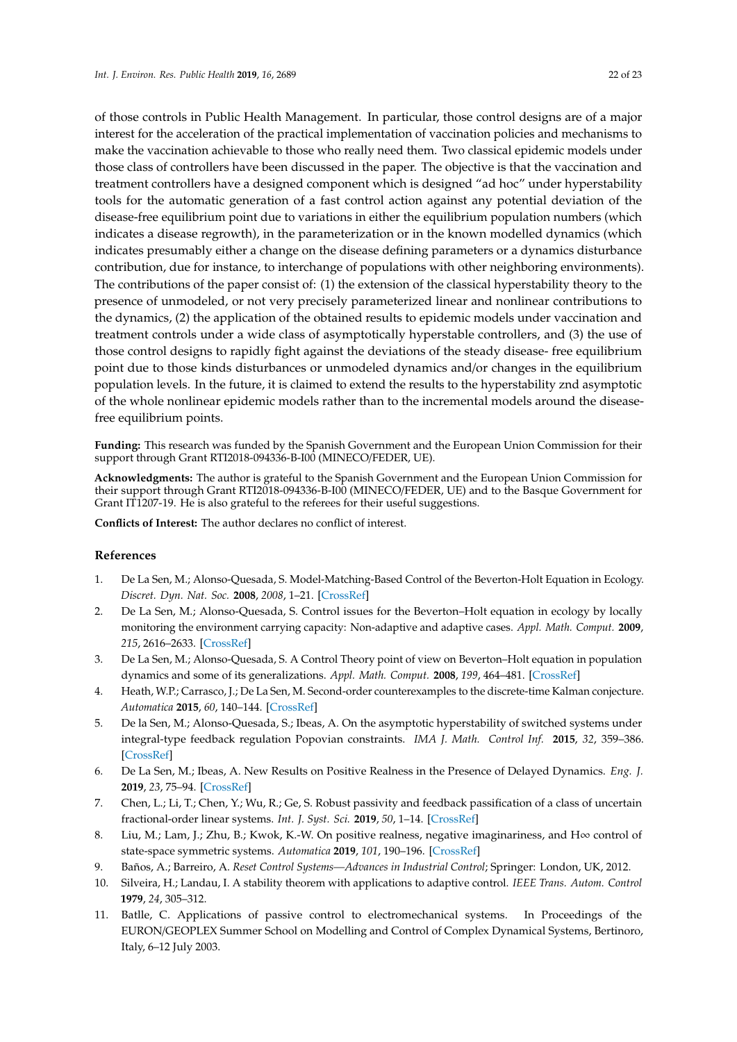of those controls in Public Health Management. In particular, those control designs are of a major interest for the acceleration of the practical implementation of vaccination policies and mechanisms to make the vaccination achievable to those who really need them. Two classical epidemic models under those class of controllers have been discussed in the paper. The objective is that the vaccination and treatment controllers have a designed component which is designed "ad hoc" under hyperstability tools for the automatic generation of a fast control action against any potential deviation of the disease-free equilibrium point due to variations in either the equilibrium population numbers (which indicates a disease regrowth), in the parameterization or in the known modelled dynamics (which indicates presumably either a change on the disease defining parameters or a dynamics disturbance contribution, due for instance, to interchange of populations with other neighboring environments). The contributions of the paper consist of: (1) the extension of the classical hyperstability theory to the presence of unmodeled, or not very precisely parameterized linear and nonlinear contributions to the dynamics, (2) the application of the obtained results to epidemic models under vaccination and treatment controls under a wide class of asymptotically hyperstable controllers, and (3) the use of those control designs to rapidly fight against the deviations of the steady disease- free equilibrium point due to those kinds disturbances or unmodeled dynamics and/or changes in the equilibrium population levels. In the future, it is claimed to extend the results to the hyperstability znd asymptotic of the whole nonlinear epidemic models rather than to the incremental models around the diseasefree equilibrium points.

**Funding:** This research was funded by the Spanish Government and the European Union Commission for their support through Grant RTI2018-094336-B-I00 (MINECO/FEDER, UE).

**Acknowledgments:** The author is grateful to the Spanish Government and the European Union Commission for their support through Grant RTI2018-094336-B-I00 (MINECO/FEDER, UE) and to the Basque Government for Grant IT1207-19. He is also grateful to the referees for their useful suggestions.

**Conflicts of Interest:** The author declares no conflict of interest.

#### **References**

- <span id="page-21-0"></span>1. De La Sen, M.; Alonso-Quesada, S. Model-Matching-Based Control of the Beverton-Holt Equation in Ecology. *Discret. Dyn. Nat. Soc.* **2008**, *2008*, 1–21. [\[CrossRef\]](http://dx.doi.org/10.1155/2008/793512)
- 2. De La Sen, M.; Alonso-Quesada, S. Control issues for the Beverton–Holt equation in ecology by locally monitoring the environment carrying capacity: Non-adaptive and adaptive cases. *Appl. Math. Comput.* **2009**, *215*, 2616–2633. [\[CrossRef\]](http://dx.doi.org/10.1016/j.amc.2009.09.003)
- <span id="page-21-1"></span>3. De La Sen, M.; Alonso-Quesada, S. A Control Theory point of view on Beverton–Holt equation in population dynamics and some of its generalizations. *Appl. Math. Comput.* **2008**, *199*, 464–481. [\[CrossRef\]](http://dx.doi.org/10.1016/j.amc.2007.10.021)
- <span id="page-21-2"></span>4. Heath, W.P.; Carrasco, J.; De La Sen, M. Second-order counterexamples to the discrete-time Kalman conjecture. *Automatica* **2015**, *60*, 140–144. [\[CrossRef\]](http://dx.doi.org/10.1016/j.automatica.2015.07.005)
- <span id="page-21-3"></span>5. De la Sen, M.; Alonso-Quesada, S.; Ibeas, A. On the asymptotic hyperstability of switched systems under integral-type feedback regulation Popovian constraints. *IMA J. Math. Control Inf.* **2015**, *32*, 359–386. [\[CrossRef\]](http://dx.doi.org/10.1093/imamci/dnt045)
- <span id="page-21-7"></span>6. De La Sen, M.; Ibeas, A. New Results on Positive Realness in the Presence of Delayed Dynamics. *Eng. J.* **2019**, *23*, 75–94. [\[CrossRef\]](http://dx.doi.org/10.4186/ej.2019.23.1.75)
- 7. Chen, L.; Li, T.; Chen, Y.; Wu, R.; Ge, S. Robust passivity and feedback passification of a class of uncertain fractional-order linear systems. *Int. J. Syst. Sci.* **2019**, *50*, 1–14. [\[CrossRef\]](http://dx.doi.org/10.1080/00207721.2019.1597940)
- 8. Liu, M.; Lam, J.; Zhu, B.; Kwok, K.-W. On positive realness, negative imaginariness, and H∞ control of state-space symmetric systems. *Automatica* **2019**, *101*, 190–196. [\[CrossRef\]](http://dx.doi.org/10.1016/j.automatica.2018.11.031)
- <span id="page-21-4"></span>9. Baños, A.; Barreiro, A. *Reset Control Systems—Advances in Industrial Control*; Springer: London, UK, 2012.
- <span id="page-21-6"></span>10. Silveira, H.; Landau, I. A stability theorem with applications to adaptive control. *IEEE Trans. Autom. Control* **1979**, *24*, 305–312.
- <span id="page-21-5"></span>11. Batlle, C. Applications of passive control to electromechanical systems. In Proceedings of the EURON/GEOPLEX Summer School on Modelling and Control of Complex Dynamical Systems, Bertinoro, Italy, 6–12 July 2003.